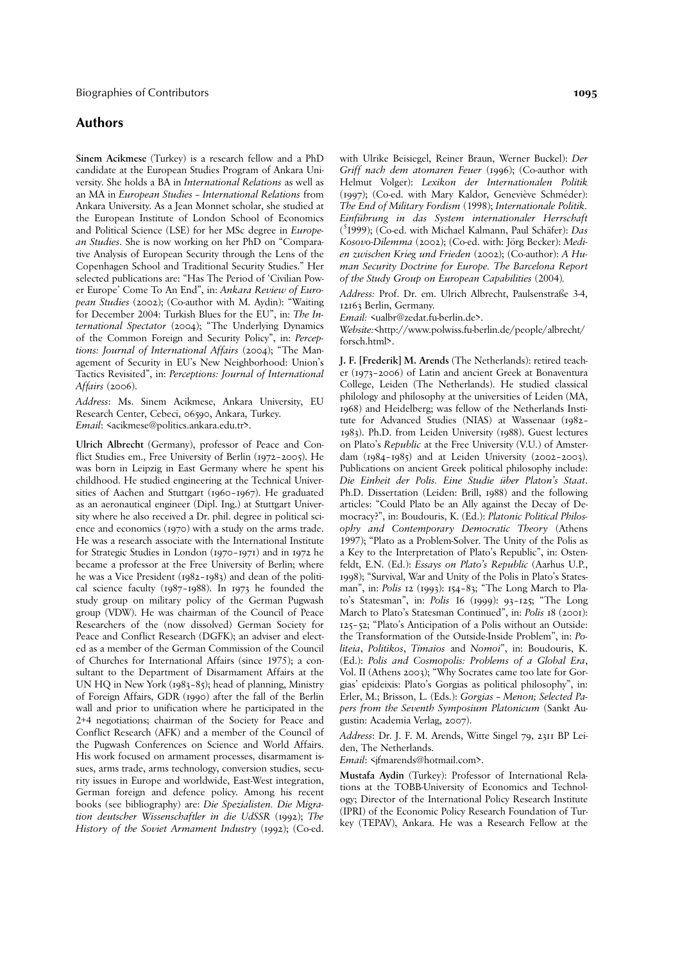## **Authors**

**Sinem Acikmese** (Turkey) is a research fellow and a PhD candidate at the European Studies Program of Ankara University. She holds a BA in *International Relations* as well as an MA in *European Studies – International Relations* from Ankara University. As a Jean Monnet scholar, she studied at the European Institute of London School of Economics and Political Science (LSE) for her MSc degree in *European Studies*. She is now working on her PhD on "Comparative Analysis of European Security through the Lens of the Copenhagen School and Traditional Security Studies." Her selected publications are: "Has The Period of 'Civilian Power Europe' Come To An End", in: *Ankara Review of European Studies* (2002); (Co-author with M. Aydin): "Waiting for December 2004: Turkish Blues for the EU", in: *The International Spectator* (2004); "The Underlying Dynamics of the Common Foreign and Security Policy", in: *Perceptions: Journal of International Affairs* (2004); "The Management of Security in EU's New Neighborhood: Union's Tactics Revisited", in: *Perceptions: Journal of International Affairs* (2006).

*Address*: Ms. Sinem Acikmese, Ankara University, EU Research Center, Cebeci, 06590, Ankara, Turkey. *Email*: <acikmese@politics.ankara.edu.tr>.

**Ulrich Albrecht** (Germany), professor of Peace and Conflict Studies em., Free University of Berlin (1972–2005). He was born in Leipzig in East Germany where he spent his childhood. He studied engineering at the Technical Universities of Aachen and Stuttgart (1960–1967). He graduated as an aeronautical engineer (Dipl. Ing.) at Stuttgart University where he also received a Dr. phil. degree in political science and economics (1970) with a study on the arms trade. He was a research associate with the International Institute for Strategic Studies in London (1970–1971) and in 1972 he became a professor at the Free University of Berlin; where he was a Vice President (1982–1983) and dean of the political science faculty (1987–1988). In 1973 he founded the study group on military policy of the German Pugwash group (VDW). He was chairman of the Council of Peace Researchers of the (now dissolved) German Society for Peace and Conflict Research (DGFK); an adviser and elected as a member of the German Commission of the Council of Churches for International Affairs (since 1975); a consultant to the Department of Disarmament Affairs at the UN HQ in New York (1983–85); head of planning, Ministry of Foreign Affairs, GDR (1990) after the fall of the Berlin wall and prior to unification where he participated in the 2+4 negotiations; chairman of the Society for Peace and Conflict Research (AFK) and a member of the Council of the Pugwash Conferences on Science and World Affairs. His work focused on armament processes, disarmament issues, arms trade, arms technology, conversion studies, security issues in Europe and worldwide, East-West integration, German foreign and defence policy. Among his recent books (see bibliography) are: *Die Spezialisten. Die Migration deutscher Wissenschaftler in die UdSSR* (1992); *The History of the Soviet Armament Industry* (1992); (Co-ed.

with Ulrike Beisiegel, Reiner Braun, Werner Buckel): *Der Griff nach dem atomaren Feuer* (1996); (Co-author with Helmut Volger): *Lexikon der Internationalen Politik* (1997); (Co-ed. with Mary Kaldor, Geneviève Schméder): *The End of Military Fordism* (1998); *Internationale Politik. Einführung in das System internationaler Herrschaft* ( 5 1999); (Co-ed. with Michael Kalmann, Paul Schäfer): *Das Kosovo-Dilemma* (2002); (Co-ed. with: Jörg Becker): *Medien zwischen Krieg und Frieden* (2002); (Co-author): *A Human Security Doctrine for Europe. The Barcelona Report of the Study Group on European Capabilities* (2004)*.*

*Address:* Prof. Dr. em. Ulrich Albrecht, Paulsenstraße 3-4, 12163 Berlin, Germany.

*Email: <*ualbr@zedat.fu-berlin.de>.

*Website:*<http://www.polwiss.fu-berlin.de/people/albrecht/ forsch.html>.

**J. F. [Frederik] M. Arends** (The Netherlands): retired teacher (1973–2006) of Latin and ancient Greek at Bonaventura College, Leiden (The Netherlands). He studied classical philology and philosophy at the universities of Leiden (MA, 1968) and Heidelberg; was fellow of the Netherlands Institute for Advanced Studies (NIAS) at Wassenaar (1982– 1983). Ph.D. from Leiden University (1988). Guest lectures on Plato's *Republic* at the Free University (V.U.) of Amsterdam (1984–1985) and at Leiden University (2002–2003). Publications on ancient Greek political philosophy include: *Die Einheit der Polis. Eine Studie über Platon's Staat*. Ph.D. Dissertation (Leiden: Brill, 1988) and the following articles: "Could Plato be an Ally against the Decay of Democracy?", in: Boudouris, K. (Ed.): *Platonic Political Philosophy and Contemporary Democratic Theory* (Athens 1997); "Plato as a Problem-Solver. The Unity of the Polis as a Key to the Interpretation of Plato's Republic", in: Ostenfeldt, E.N. (Ed.): *Essays on Plato's Republic* (Aarhus U.P., 1998); "Survival, War and Unity of the Polis in Plato's Statesman", in: *Polis* 12 (1993): 154–83; "The Long March to Plato's Statesman", in: *Polis* 16 (1999): 93–125; "The Long March to Plato's Statesman Continued", in: *Polis* 18 (2001): 125–52; "Plato's Anticipation of a Polis without an Outside: the Transformation of the Outside-Inside Problem", in: *Politeia*, *Politikos*, *Timaios* and *Nomoi*", in: Boudouris, K. (Ed.): *Polis and Cosmopolis: Problems of a Global Era*, Vol. II (Athens 2003); "Why Socrates came too late for Gorgias' epideixis: Plato's Gorgias as political philosophy", in: Erler, M.; Brisson, L. (Eds.): *Gorgias – Menon; Selected Papers from the Seventh Symposium Platonicum* (Sankt Augustin: Academia Verlag, 2007).

*Address*: Dr. J. F. M. Arends, Witte Singel 79, 2311 BP Leiden, The Netherlands.

*Email*: <jfmarends@hotmail.com>.

**Mustafa Aydin** (Turkey): Professor of International Relations at the TOBB-University of Economics and Technology; Director of the International Policy Research Institute (IPRI) of the Economic Policy Research Foundation of Turkey (TEPAV), Ankara. He was a Research Fellow at the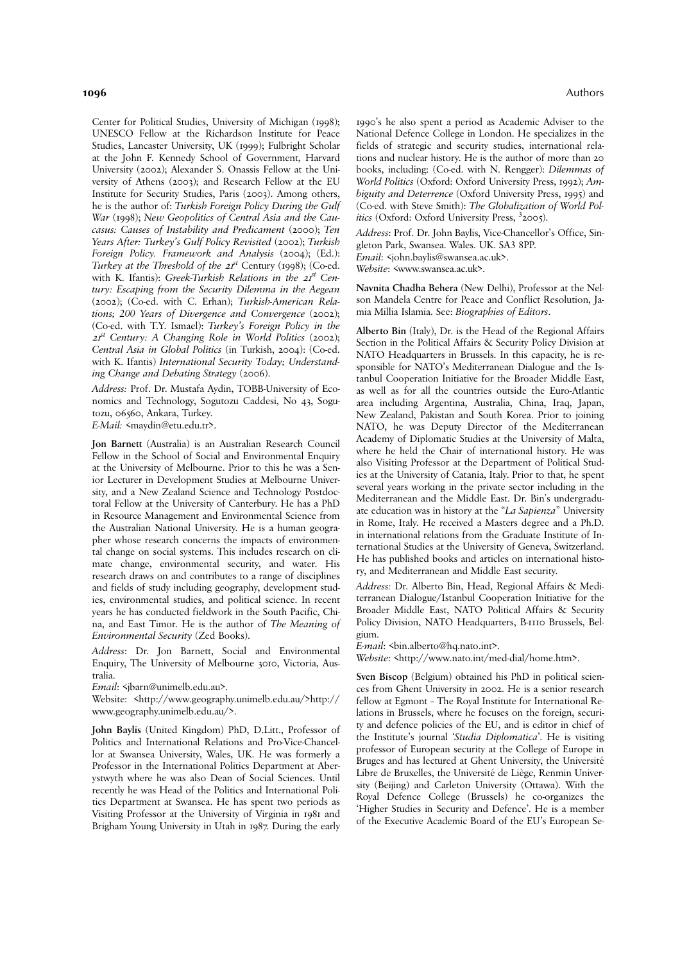Center for Political Studies, University of Michigan (1998); UNESCO Fellow at the Richardson Institute for Peace Studies, Lancaster University, UK (1999); Fulbright Scholar at the John F. Kennedy School of Government, Harvard University (2002); Alexander S. Onassis Fellow at the University of Athens (2003); and Research Fellow at the EU Institute for Security Studies, Paris (2003). Among others, he is the author of: *Turkish Foreign Policy During the Gulf War* (1998); *New Geopolitics of Central Asia and the Caucasus: Causes of Instability and Predicament* (2000); *Ten Years After: Turkey's Gulf Policy Revisited* (2002); *Turkish Foreign Policy. Framework and Analysis* (2004); (Ed.): *Turkey at the Threshold of the*  $2I<sup>st</sup>$  *Century (1998); (Co-ed.* with K. Ifantis): Greek-Turkish Relations in the  $2I<sup>st</sup>$  Cen*tury: Escaping from the Security Dilemma in the Aegean* (2002); (Co-ed. with C. Erhan); *Turkish-American Relations; 200 Years of Divergence and Convergence* (2002); (Co-ed. with T.Y. Ismael): *Turkey's Foreign Policy in the* <sup>21</sup>*st Century: A Changing Role in World Politics* (2002); *Central Asia in Global Politics* (in Turkish, 2004): (Co-ed. with K. Ifantis) *International Security Today; Understanding Change and Debating Strategy* (2006).

*Address:* Prof. Dr. Mustafa Aydin, TOBB-University of Economics and Technology, Sogutozu Caddesi, No 43, Sogutozu, 06560, Ankara, Turkey. *E-Mail:* <maydin@etu.edu.tr>.

**Jon Barnett** (Australia) is an Australian Research Council Fellow in the School of Social and Environmental Enquiry at the University of Melbourne. Prior to this he was a Senior Lecturer in Development Studies at Melbourne University, and a New Zealand Science and Technology Postdoctoral Fellow at the University of Canterbury. He has a PhD in Resource Management and Environmental Science from the Australian National University. He is a human geographer whose research concerns the impacts of environmental change on social systems. This includes research on climate change, environmental security, and water. His research draws on and contributes to a range of disciplines and fields of study including geography, development studies, environmental studies, and political science. In recent years he has conducted fieldwork in the South Pacific, China, and East Timor. He is the author of *The Meaning of Environmental Security* (Zed Books).

*Address*: Dr. Jon Barnett, Social and Environmental Enquiry, The University of Melbourne 3010, Victoria, Australia.

*Email*: <jbarn@unimelb.edu.au>.

Website: <http://www.geography.unimelb.edu.au/>http:// www.geography.unimelb.edu.au/>.

**John Baylis** (United Kingdom) PhD, D.Litt., Professor of Politics and International Relations and Pro-Vice-Chancellor at Swansea University, Wales, UK. He was formerly a Professor in the International Politics Department at Aberystwyth where he was also Dean of Social Sciences. Until recently he was Head of the Politics and International Politics Department at Swansea. He has spent two periods as Visiting Professor at the University of Virginia in 1981 and Brigham Young University in Utah in 1987. During the early 1990's he also spent a period as Academic Adviser to the National Defence College in London. He specializes in the fields of strategic and security studies, international relations and nuclear history. He is the author of more than 20 books, including: (Co-ed. with N. Rengger): *Dilemmas of World Politics* (Oxford: Oxford University Press, 1992); *Ambiguity and Deterrence* (Oxford University Press, 1995) and (Co-ed. with Steve Smith): *The Globalization of World Politics* (Oxford: Oxford University Press, 3 2005).

*Address*: Prof. Dr. John Baylis, Vice-Chancellor's Office, Singleton Park, Swansea. Wales. UK. SA3 8PP. *Email*: <*iohn.bavlis@swansea.ac.uk>. Website*: <www.swansea.ac.uk>.

**Navnita Chadha Behera** (New Delhi), Professor at the Nelson Mandela Centre for Peace and Conflict Resolution, Jamia Millia Islamia. See: *Biographies of Editors*.

**Alberto Bin** (Italy), Dr. is the Head of the Regional Affairs Section in the Political Affairs & Security Policy Division at NATO Headquarters in Brussels. In this capacity, he is responsible for NATO's Mediterranean Dialogue and the Istanbul Cooperation Initiative for the Broader Middle East, as well as for all the countries outside the Euro-Atlantic area including Argentina, Australia, China, Iraq, Japan, New Zealand, Pakistan and South Korea. Prior to joining NATO, he was Deputy Director of the Mediterranean Academy of Diplomatic Studies at the University of Malta, where he held the Chair of international history. He was also Visiting Professor at the Department of Political Studies at the University of Catania, Italy. Prior to that, he spent several years working in the private sector including in the Mediterranean and the Middle East. Dr. Bin's undergraduate education was in history at the "*La Sapienza*" University in Rome, Italy. He received a Masters degree and a Ph.D. in international relations from the Graduate Institute of International Studies at the University of Geneva, Switzerland. He has published books and articles on international history, and Mediterranean and Middle East security.

*Address:* Dr. Alberto Bin, Head, Regional Affairs & Mediterranean Dialogue/Istanbul Cooperation Initiative for the Broader Middle East, NATO Political Affairs & Security Policy Division, NATO Headquarters, B-1110 Brussels, Belgium.

*E-mail*: <bin.alberto@hq.nato.int>.

*Website*: <http://www.nato.int/med-dial/home.htm>.

**Sven Biscop** (Belgium) obtained his PhD in political sciences from Ghent University in 2002. He is a senior research fellow at Egmont – The Royal Institute for International Relations in Brussels, where he focuses on the foreign, security and defence policies of the EU, and is editor in chief of the Institute's journal '*Studia Diplomatica*'. He is visiting professor of European security at the College of Europe in Bruges and has lectured at Ghent University, the Université Libre de Bruxelles, the Université de Liège, Renmin University (Beijing) and Carleton University (Ottawa). With the Royal Defence College (Brussels) he co-organizes the 'Higher Studies in Security and Defence'. He is a member of the Executive Academic Board of the EU's European Se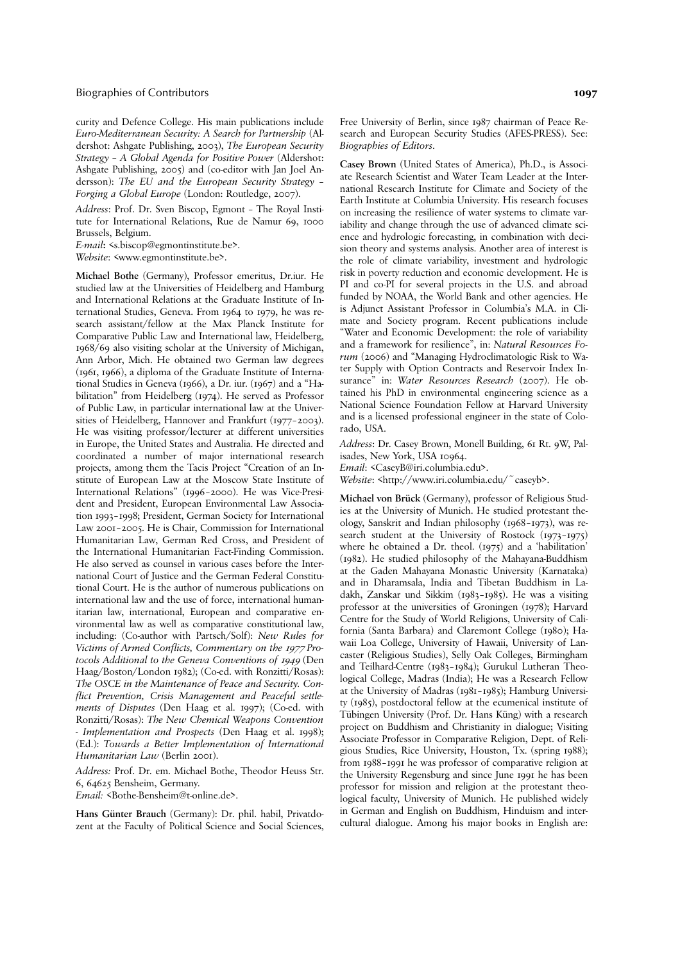curity and Defence College. His main publications include *Euro-Mediterranean Security: A Search for Partnership* (Aldershot: Ashgate Publishing, 2003), *The European Security Strategy – A Global Agenda for Positive Power* (Aldershot: Ashgate Publishing, 2005) and (co-editor with Jan Joel Andersson): *The EU and the European Security Strategy – Forging a Global Europe* (London: Routledge, 2007).

*Address*: Prof. Dr. Sven Biscop, Egmont – The Royal Institute for International Relations, Rue de Namur 69, 1000 Brussels, Belgium.

*E-mail***:** <s.biscop@egmontinstitute.be>.

*Website*: <www.egmontinstitute.be>.

**Michael Bothe** (Germany), Professor emeritus, Dr.iur. He studied law at the Universities of Heidelberg and Hamburg and International Relations at the Graduate Institute of International Studies, Geneva. From 1964 to 1979, he was research assistant/fellow at the Max Planck Institute for Comparative Public Law and International law, Heidelberg, 1968/69 also visiting scholar at the University of Michigan, Ann Arbor, Mich. He obtained two German law degrees (1961, 1966), a diploma of the Graduate Institute of International Studies in Geneva (1966), a Dr. iur. (1967) and a "Habilitation" from Heidelberg (1974). He served as Professor of Public Law, in particular international law at the Universities of Heidelberg, Hannover and Frankfurt (1977–2003). He was visiting professor/lecturer at different universities in Europe, the United States and Australia. He directed and coordinated a number of major international research projects, among them the Tacis Project "Creation of an Institute of European Law at the Moscow State Institute of International Relations" (1996–2000). He was Vice-President and President, European Environmental Law Association 1993–1998; President, German Society for International Law 2001–2005. He is Chair, Commission for International Humanitarian Law, German Red Cross, and President of the International Humanitarian Fact-Finding Commission. He also served as counsel in various cases before the International Court of Justice and the German Federal Constitutional Court. He is the author of numerous publications on international law and the use of force, international humanitarian law, international, European and comparative environmental law as well as comparative constitutional law, including: (Co-author with Partsch/Solf): *New Rules for* Victims of Armed Conflicts, Commentary on the 1977 Pro*tocols Additional to the Geneva Conventions of* <sup>1949</sup> (Den Haag/Boston/London 1982); (Co-ed. with Ronzitti/Rosas): *The OSCE in the Maintenance of Peace and Security. Conflict Prevention, Crisis Management and Peaceful settlements of Disputes* (Den Haag et al. 1997); (Co-ed. with Ronzitti/Rosas): *The New Chemical Weapons Convention - Implementation and Prospects* (Den Haag et al. 1998); (Ed.): *Towards a Better Implementation of International Humanitarian Law* (Berlin 2001).

*Address:* Prof. Dr. em. Michael Bothe, Theodor Heuss Str. 6, 64625 Bensheim, Germany.

*Email:* <Bothe-Bensheim@t-online.de>.

**Hans Günter Brauch** (Germany): Dr. phil. habil, Privatdozent at the Faculty of Political Science and Social Sciences,

Free University of Berlin, since 1987 chairman of Peace Research and European Security Studies (AFES-PRESS). See: *Biographies of Editors*.

**Casey Brown** (United States of America), Ph.D., is Associate Research Scientist and Water Team Leader at the International Research Institute for Climate and Society of the Earth Institute at Columbia University. His research focuses on increasing the resilience of water systems to climate variability and change through the use of advanced climate science and hydrologic forecasting, in combination with decision theory and systems analysis. Another area of interest is the role of climate variability, investment and hydrologic risk in poverty reduction and economic development. He is PI and co-PI for several projects in the U.S. and abroad funded by NOAA, the World Bank and other agencies. He is Adjunct Assistant Professor in Columbia's M.A. in Climate and Society program. Recent publications include "Water and Economic Development: the role of variability and a framework for resilience", in: *Natural Resources Forum* (2006) and "Managing Hydroclimatologic Risk to Water Supply with Option Contracts and Reservoir Index Insurance" in: *Water Resources Research* (2007). He obtained his PhD in environmental engineering science as a National Science Foundation Fellow at Harvard University and is a licensed professional engineer in the state of Colorado, USA.

*Address*: Dr. Casey Brown, Monell Building, 61 Rt. 9W, Palisades, New York, USA 10964.

*Email*: <CaseyB@iri.columbia.edu>.

Website: <http://www.iri.columbia.edu/~caseyb>.

**Michael von Brück** (Germany), professor of Religious Studies at the University of Munich. He studied protestant theology, Sanskrit and Indian philosophy (1968–1973), was research student at the University of Rostock (1973–1975) where he obtained a Dr. theol. (1975) and a 'habilitation' (1982). He studied philosophy of the Mahayana-Buddhism at the Gaden Mahayana Monastic University (Karnataka) and in Dharamsala, India and Tibetan Buddhism in Ladakh, Zanskar und Sikkim (1983–1985). He was a visiting professor at the universities of Groningen (1978); Harvard Centre for the Study of World Religions, University of California (Santa Barbara) and Claremont College (1980); Hawaii Loa College, University of Hawaii, University of Lancaster (Religious Studies), Selly Oak Colleges, Birmingham and Teilhard-Centre (1983–1984); Gurukul Lutheran Theological College, Madras (India); He was a Research Fellow at the University of Madras (1981–1985); Hamburg University (1985), postdoctoral fellow at the ecumenical institute of Tübingen University (Prof. Dr. Hans Küng) with a research project on Buddhism and Christianity in dialogue; Visiting Associate Professor in Comparative Religion, Dept. of Religious Studies, Rice University, Houston, Tx. (spring 1988); from 1988–1991 he was professor of comparative religion at the University Regensburg and since June 1991 he has been professor for mission and religion at the protestant theological faculty, University of Munich. He published widely in German and English on Buddhism, Hinduism and intercultural dialogue. Among his major books in English are: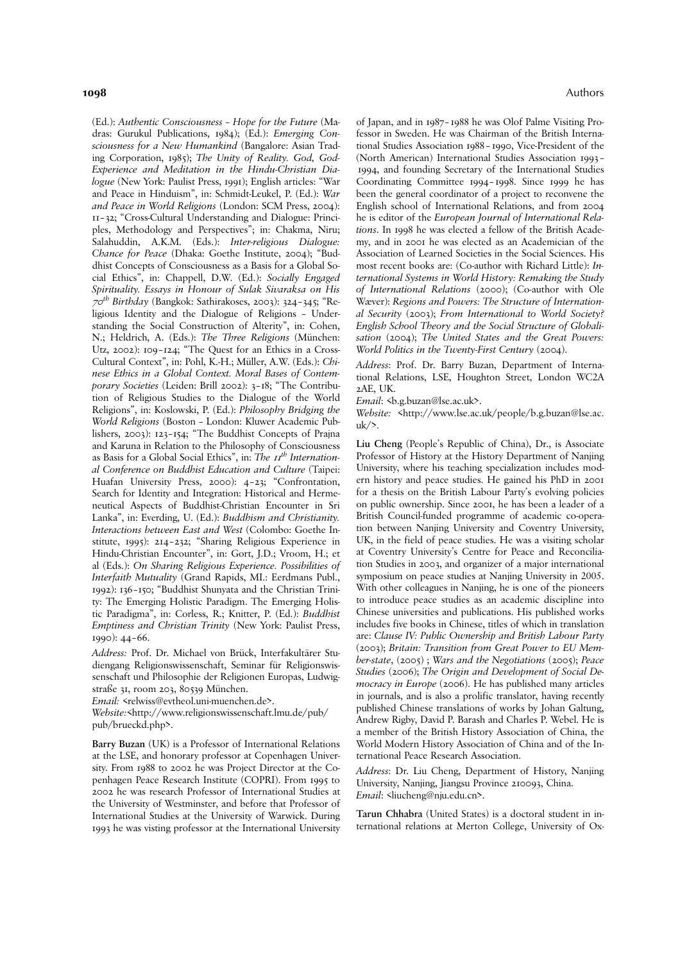(Ed.): *Authentic Consciousness – Hope for the Future* (Madras: Gurukul Publications, 1984); (Ed.): *Emerging Consciousness for a New Humankind* (Bangalore: Asian Trading Corporation, 1985); *The Unity of Reality. God, God-Experience and Meditation in the Hindu-Christian Dialogue* (New York: Paulist Press, 1991); English articles: "War and Peace in Hinduism", in: Schmidt-Leukel, P. (Ed.): *War and Peace in World Religions* (London: SCM Press, 2004): 11–32; "Cross-Cultural Understanding and Dialogue: Principles, Methodology and Perspectives"; in: Chakma, Niru; Salahuddin, A.K.M. (Eds.): *Inter-religious Dialogue: Chance for Peace* (Dhaka: Goethe Institute, 2004); "Buddhist Concepts of Consciousness as a Basis for a Global Social Ethics", in: Chappell, D.W. (Ed.): *Socially Engaged Spirituality. Essays in Honour of Sulak Sivaraksa on His* 70*th Birthday* (Bangkok: Sathirakoses, 2003): 324–345; "Religious Identity and the Dialogue of Religions – Understanding the Social Construction of Alterity", in: Cohen, N.; Heldrich, A. (Eds.): *The Three Religions* (München: Utz, 2002): 109–124; "The Quest for an Ethics in a Cross-Cultural Context", in: Pohl, K.-H.; Müller, A.W. (Eds.): *Chinese Ethics in a Global Context. Moral Bases of Contemporary Societies* (Leiden: Brill 2002): 3–18; "The Contribution of Religious Studies to the Dialogue of the World Religions", in: Koslowski, P. (Ed.): *Philosophy Bridging the World Religions* (Boston – London: Kluwer Academic Publishers, 2003): 123–154; "The Buddhist Concepts of Prajna and Karuna in Relation to the Philosophy of Consciousness as Basis for a Global Social Ethics", in: *The 1<sup>th</sup> International Conference on Buddhist Education and Culture* (Taipei: Huafan University Press, 2000): 4–23; "Confrontation, Search for Identity and Integration: Historical and Hermeneutical Aspects of Buddhist-Christian Encounter in Sri Lanka", in: Everding, U. (Ed.): *Buddhism and Christianity. Interactions between East and West* (Colombo: Goethe Institute, 1995): 214–232; "Sharing Religious Experience in Hindu-Christian Encounter", in: Gort, J.D.; Vroom, H.; et al (Eds.): *On Sharing Religious Experience. Possibilities of Interfaith Mutuality* (Grand Rapids, MI.: Eerdmans Publ., 1992): 136–150; "Buddhist Shunyata and the Christian Trinity: The Emerging Holistic Paradigm. The Emerging Holistic Paradigma", in: Corless, R.; Knitter, P. (Ed.): *Buddhist Emptiness and Christian Trinity* (New York: Paulist Press, 1990): 44–66.

*Address:* Prof. Dr. Michael von Brück, Interfakultärer Studiengang Religionswissenschaft, Seminar für Religionswissenschaft und Philosophie der Religionen Europas, Ludwigstraße 31, room 203, 80539 München.

*Email:* <relwiss@evtheol.uni-muenchen.de>.

*Website:*<http://www.religionswissenschaft.lmu.de/pub/ pub/brueckd.php>.

**Barry Buzan** (UK) is a Professor of International Relations at the LSE, and honorary professor at Copenhagen University. From 1988 to 2002 he was Project Director at the Copenhagen Peace Research Institute (COPRI). From 1995 to 2002 he was research Professor of International Studies at the University of Westminster, and before that Professor of International Studies at the University of Warwick. During 1993 he was visting professor at the International University

of Japan, and in 1987–1988 he was Olof Palme Visiting Professor in Sweden. He was Chairman of the British International Studies Association 1988 –1990, Vice-President of the (North American) International Studies Association 1993 – 1994, and founding Secretary of the International Studies Coordinating Committee 1994–1998. Since 1999 he has been the general coordinator of a project to reconvene the English school of International Relations, and from 2004 he is editor of the *European Journal of International Relations*. In 1998 he was elected a fellow of the British Academy, and in 2001 he was elected as an Academician of the Association of Learned Societies in the Social Sciences. His most recent books are: (Co-author with Richard Little): *International Systems in World History: Remaking the Study of International Relations* (2000); (Co-author with Ole Wæver): *Regions and Powers: The Structure of International Security* (2003); *From International to World Society? English School Theory and the Social Structure of Globalisation* (2004); *The United States and the Great Powers: World Politics in the Twenty-First Century* (2004).

*Address*: Prof. Dr. Barry Buzan, Department of International Relations, LSE, Houghton Street, London WC2A 2AE, UK.

*Email*: <b.g.buzan@lse.ac.uk>.

*Website:* <http://www.lse.ac.uk/people/b.g.buzan@lse.ac. uk/>.

**Liu Cheng** (People's Republic of China), Dr., is Associate Professor of History at the History Department of Nanjing University, where his teaching specialization includes modern history and peace studies. He gained his PhD in 2001 for a thesis on the British Labour Party's evolving policies on public ownership. Since 2001, he has been a leader of a British Council-funded programme of academic co-operation between Nanjing University and Coventry University, UK, in the field of peace studies. He was a visiting scholar at Coventry University's Centre for Peace and Reconciliation Studies in 2003, and organizer of a major international symposium on peace studies at Nanjing University in 2005. With other colleagues in Nanjing, he is one of the pioneers to introduce peace studies as an academic discipline into Chinese universities and publications. His published works includes five books in Chinese, titles of which in translation are: *Clause IV: Public Ownership and British Labour Party* (2003); *Britain: Transition from Great Power to EU Member-state*, (2005) ; *Wars and the Negotiations* (2005); *Peace Studies* (2006); *The Origin and Development of Social Democracy in Europe* (2006). He has published many articles in journals, and is also a prolific translator, having recently published Chinese translations of works by Johan Galtung, Andrew Rigby, David P. Barash and Charles P. Webel. He is a member of the British History Association of China, the World Modern History Association of China and of the International Peace Research Association.

*Address*: Dr. Liu Cheng, Department of History, Nanjing University, Nanjing, Jiangsu Province 210093, China. *Email*: <liucheng@nju.edu.cn>.

**Tarun Chhabra** (United States) is a doctoral student in international relations at Merton College, University of Ox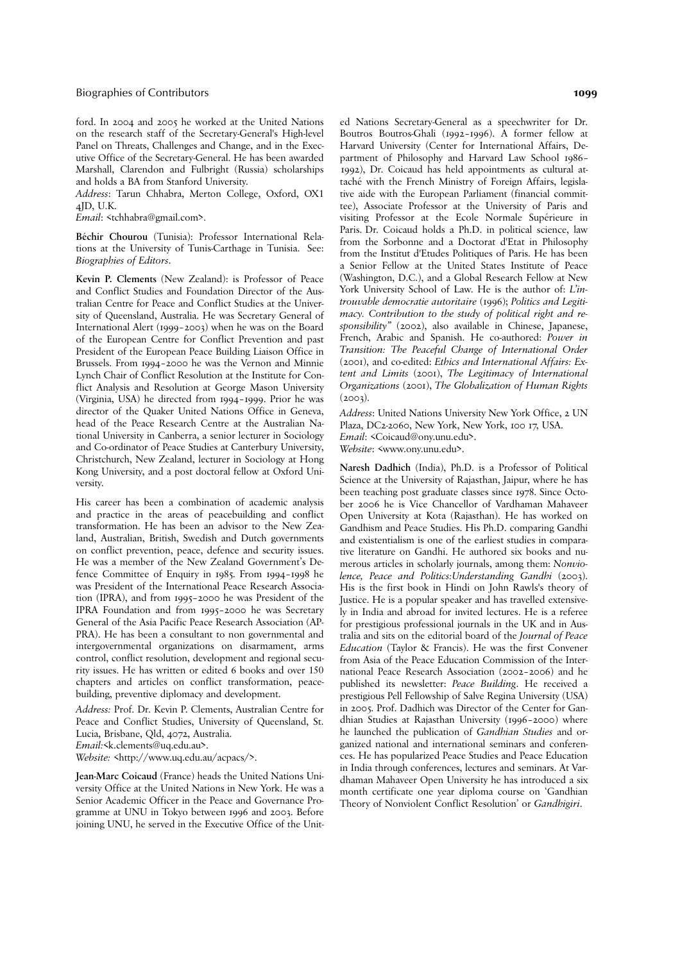ford. In 2004 and 2005 he worked at the United Nations on the research staff of the Secretary-General's High-level Panel on Threats, Challenges and Change, and in the Executive Office of the Secretary-General. He has been awarded Marshall, Clarendon and Fulbright (Russia) scholarships and holds a BA from Stanford University.

*Address*: Tarun Chhabra, Merton College, Oxford, OX1 4JD, U.K.

*Email*: <tchhabra@gmail.com>.

**Béchir Chourou** (Tunisia): Professor International Relations at the University of Tunis-Carthage in Tunisia. See: *Biographies of Editors*.

**Kevin P. Clements** (New Zealand): is Professor of Peace and Conflict Studies and Foundation Director of the Australian Centre for Peace and Conflict Studies at the University of Queensland, Australia. He was Secretary General of International Alert (1999–2003) when he was on the Board of the European Centre for Conflict Prevention and past President of the European Peace Building Liaison Office in Brussels. From 1994–2000 he was the Vernon and Minnie Lynch Chair of Conflict Resolution at the Institute for Conflict Analysis and Resolution at George Mason University (Virginia, USA) he directed from 1994–1999. Prior he was director of the Quaker United Nations Office in Geneva, head of the Peace Research Centre at the Australian National University in Canberra, a senior lecturer in Sociology and Co-ordinator of Peace Studies at Canterbury University, Christchurch, New Zealand, lecturer in Sociology at Hong Kong University, and a post doctoral fellow at Oxford University.

His career has been a combination of academic analysis and practice in the areas of peacebuilding and conflict transformation. He has been an advisor to the New Zealand, Australian, British, Swedish and Dutch governments on conflict prevention, peace, defence and security issues. He was a member of the New Zealand Government's Defence Committee of Enquiry in 1985. From 1994–1998 he was President of the International Peace Research Association (IPRA), and from 1995–2000 he was President of the IPRA Foundation and from 1995–2000 he was Secretary General of the Asia Pacific Peace Research Association (AP-PRA). He has been a consultant to non governmental and intergovernmental organizations on disarmament, arms control, conflict resolution, development and regional security issues. He has written or edited 6 books and over 150 chapters and articles on conflict transformation, peacebuilding, preventive diplomacy and development.

*Address:* Prof. Dr. Kevin P. Clements, Australian Centre for Peace and Conflict Studies, University of Queensland, St. Lucia, Brisbane, Qld, 4072, Australia. *Email:*<k.clements@uq.edu.au>. *Website: <*http://www.uq.edu.au/acpacs/>.

**Jean-Marc Coicaud** (France) heads the United Nations University Office at the United Nations in New York. He was a Senior Academic Officer in the Peace and Governance Programme at UNU in Tokyo between 1996 and 2003. Before joining UNU, he served in the Executive Office of the United Nations Secretary-General as a speechwriter for Dr. Boutros Boutros-Ghali (1992–1996). A former fellow at Harvard University (Center for International Affairs, Department of Philosophy and Harvard Law School 1986– 1992), Dr. Coicaud has held appointments as cultural attaché with the French Ministry of Foreign Affairs, legislative aide with the European Parliament (financial committee), Associate Professor at the University of Paris and visiting Professor at the Ecole Normale Supérieure in Paris. Dr. Coicaud holds a Ph.D. in political science, law from the Sorbonne and a Doctorat d'Etat in Philosophy from the Institut d'Etudes Politiques of Paris. He has been a Senior Fellow at the United States Institute of Peace (Washington, D.C.), and a Global Research Fellow at New York University School of Law. He is the author of: *L'introuvable democratie autoritaire* (1996); *Politics and Legitimacy. Contribution to the study of political right and responsibility"* (2002), also available in Chinese, Japanese, French, Arabic and Spanish. He co-authored: *Power in Transition: The Peaceful Change of International Order* (2001), and co-edited: *Ethics and International Affairs: Extent and Limits* (2001), *The Legitimacy of International Organizations* (2001), *The Globalization of Human Rights*  $(2003)$ .

*Address*: United Nations University New York Office, 2 UN Plaza, DC2-2060, New York, New York, 100 17, USA. *Email*: <Coicaud@ony.unu.edu>. *Website*: <www.ony.unu.edu>.

**Naresh Dadhich** (India), Ph.D. is a Professor of Political Science at the University of Rajasthan, Jaipur, where he has been teaching post graduate classes since 1978. Since October 2006 he is Vice Chancellor of Vardhaman Mahaveer Open University at Kota (Rajasthan). He has worked on Gandhism and Peace Studies. His Ph.D. comparing Gandhi and existentialism is one of the earliest studies in comparative literature on Gandhi. He authored six books and numerous articles in scholarly journals, among them: *Nonviolence, Peace and Politics:Understanding Gandhi* (2003). His is the first book in Hindi on John Rawls's theory of Justice. He is a popular speaker and has travelled extensively in India and abroad for invited lectures. He is a referee for prestigious professional journals in the UK and in Australia and sits on the editorial board of the *Journal of Peace Education* (Taylor & Francis). He was the first Convener from Asia of the Peace Education Commission of the International Peace Research Association (2002–2006) and he published its newsletter: *Peace Building*. He received a prestigious Pell Fellowship of Salve Regina University (USA) in 2005. Prof. Dadhich was Director of the Center for Gandhian Studies at Rajasthan University (1996–2000) where he launched the publication of *Gandhian Studies* and organized national and international seminars and conferences. He has popularized Peace Studies and Peace Education in India through conferences, lectures and seminars. At Vardhaman Mahaveer Open University he has introduced a six month certificate one year diploma course on 'Gandhian Theory of Nonviolent Conflict Resolution' or *Gandhigiri*.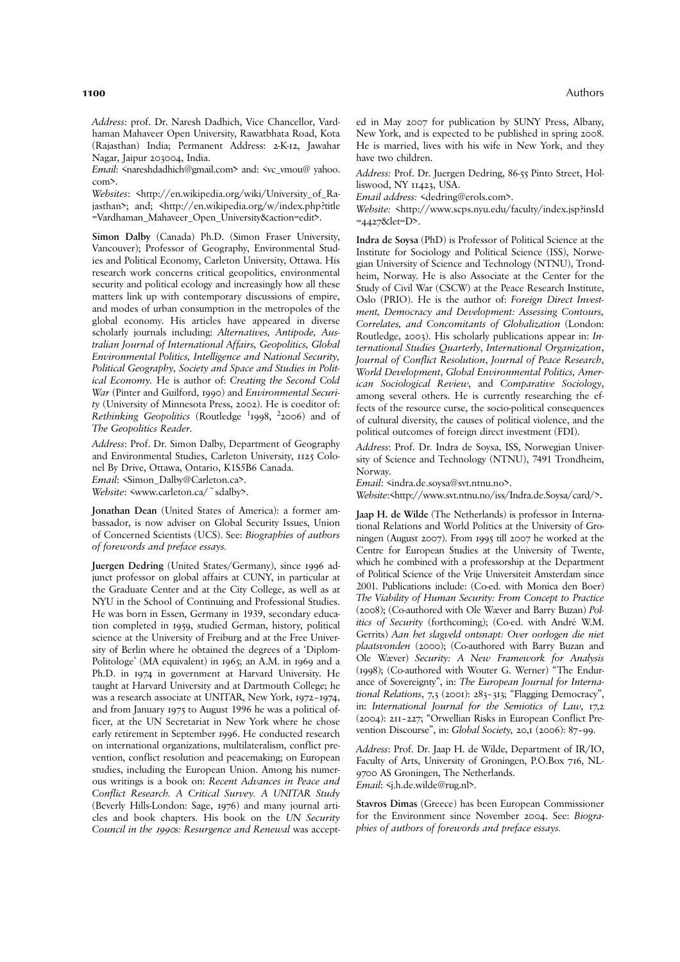*Address*: prof. Dr. Naresh Dadhich, Vice Chancellor, Vardhaman Mahaveer Open University, Rawatbhata Road, Kota (Rajasthan) India; Permanent Address: 2-K-12, Jawahar Nagar, Jaipur 203004, India.

*Email*: <nareshdadhich@gmail.com> and: <vc\_vmou@ yahoo. com>.

*Websites*: <http://en.wikipedia.org/wiki/University\_of\_Rajasthan>; and; <http://en.wikipedia.org/w/index.php?title =Vardhaman\_Mahaveer\_Open\_University&action=edit>.

**Simon Dalby** (Canada) Ph.D. (Simon Fraser University, Vancouver); Professor of Geography, Environmental Studies and Political Economy, Carleton University, Ottawa. His research work concerns critical geopolitics, environmental security and political ecology and increasingly how all these matters link up with contemporary discussions of empire, and modes of urban consumption in the metropoles of the global economy. His articles have appeared in diverse scholarly journals including: *Alternatives, Antipode, Australian Journal of International Affairs, Geopolitics, Global Environmental Politics, Intelligence and National Security, Political Geography, Society and Space and Studies in Political Economy.* He is author of: *Creating the Second Cold War* (Pinter and Guilford, 1990) and *Environmental Security* (University of Minnesota Press, 2002). He is coeditor of: Rethinking Geopolitics (Routledge <sup>1</sup>1998, <sup>2</sup>2006) and of *The Geopolitics Reader*.

*Address*: Prof. Dr. Simon Dalby, Department of Geography and Environmental Studies, Carleton University, 1125 Colonel By Drive, Ottawa, Ontario, K1S5B6 Canada. *Email*: <Simon\_Dalby@Carleton.ca>. *Website*: <www.carleton.ca/~sdalby>.

**Jonathan Dean** (United States of America): a former ambassador, is now adviser on Global Security Issues, Union of Concerned Scientists (UCS). See: *Biographies of authors of forewords and preface essays.*

**Juergen Dedring** (United States/Germany), since 1996 adjunct professor on global affairs at CUNY, in particular at the Graduate Center and at the City College, as well as at NYU in the School of Continuing and Professional Studies. He was born in Essen, Germany in 1939, secondary education completed in 1959, studied German, history, political science at the University of Freiburg and at the Free University of Berlin where he obtained the degrees of a 'Diplom-Politologe' (MA equivalent) in 1965; an A.M. in 1969 and a Ph.D. in 1974 in government at Harvard University. He taught at Harvard University and at Dartmouth College; he was a research associate at UNITAR, New York, 1972–1974, and from January 1975 to August 1996 he was a political officer, at the UN Secretariat in New York where he chose early retirement in September 1996. He conducted research on international organizations, multilateralism, conflict prevention, conflict resolution and peacemaking; on European studies, including the European Union. Among his numerous writings is a book on: *Recent Advances in Peace and Conflict Research. A Critical Survey. A UNITAR Study* (Beverly Hills-London: Sage, 1976) and many journal articles and book chapters. His book on the *UN Security Council in the* 1990*s: Resurgence and Renewal* was accepted in May 2007 for publication by SUNY Press, Albany, New York, and is expected to be published in spring 2008. He is married, lives with his wife in New York, and they have two children.

*Address:* Prof. Dr. Juergen Dedring, 86-55 Pinto Street, Holliswood, NY 11423, USA.

*Email address:* <dedring@erols.com>.

*Website: <*http://www.scps.nyu.edu/faculty/index.jsp?insId =4427&let=D>.

**Indra de Soysa** (PhD) is Professor of Political Science at the Institute for Sociology and Political Science (ISS), Norwegian University of Science and Technology (NTNU), Trondheim, Norway. He is also Associate at the Center for the Study of Civil War (CSCW) at the Peace Research Institute, Oslo (PRIO). He is the author of: *Foreign Direct Investment, Democracy and Development: Assessing Contours, Correlates, and Concomitants of Globalization* (London: Routledge, 2003). His scholarly publications appear in: *International Studies Quarterly*, *International Organization*, *Journal of Conflict Resolution*, *Journal of Peace Research*, *World Development*, *Global Environmental Politics, American Sociological Review*, and *Comparative Sociology*, among several others. He is currently researching the effects of the resource curse, the socio-political consequences of cultural diversity, the causes of political violence, and the political outcomes of foreign direct investment (FDI).

*Address*: Prof. Dr. Indra de Soysa, ISS, Norwegian University of Science and Technology (NTNU), 7491 Trondheim, Norway.

*Email*: <indra.de.soysa@svt.ntnu.no>.

*Website*:<http://www.svt.ntnu.no/iss/Indra.de.Soysa/card/>**.**

**Jaap H. de Wilde** (The Netherlands) is professor in International Relations and World Politics at the University of Groningen (August 2007). From 1995 till 2007 he worked at the Centre for European Studies at the University of Twente, which he combined with a professorship at the Department of Political Science of the Vrije Universiteit Amsterdam since 2001. Publications include: (Co-ed. with Monica den Boer) *The Viability of Human Security: From Concept to Practice* (2008); (Co-authored with Ole Wæver and Barry Buzan) *Politics of Security* (forthcoming); (Co-ed. with André W.M. Gerrits) *Aan het slagveld ontsnapt: Over oorlogen die niet plaatsvonden* (2000); (Co-authored with Barry Buzan and Ole Wæver) *Security: A New Framework for Analysis* (1998); (Co-authored with Wouter G. Werner) "The Endurance of Sovereignty", in: *The European Journal for International Relations*, 7,3 (2001): 283–313; "Flagging Democracy", in: *International Journal for the Semiotics of Law*, 17,2 (2004): 211–227; "Orwellian Risks in European Conflict Prevention Discourse", in: *Global Society,* 20,1 (2006): 87–99.

*Address*: Prof. Dr. Jaap H. de Wilde, Department of IR/IO, Faculty of Arts, University of Groningen, P.O.Box 716, NL-9700 AS Groningen, The Netherlands. *Email*: <j.h.de.wilde@rug.nl>.

**Stavros Dimas** (Greece) has been European Commissioner for the Environment since November 2004. See: *Biographies of authors of forewords and preface essays.*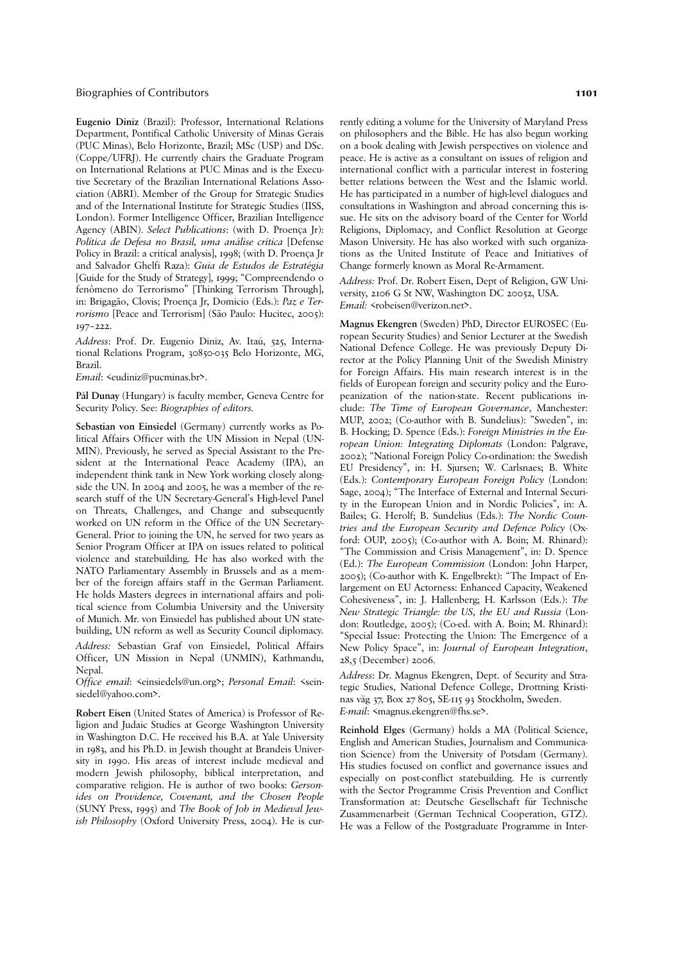**Eugenio Diniz** (Brazil): Professor, International Relations Department, Pontifical Catholic University of Minas Gerais (PUC Minas), Belo Horizonte, Brazil; MSc (USP) and DSc. (Coppe/UFRJ). He currently chairs the Graduate Program on International Relations at PUC Minas and is the Executive Secretary of the Brazilian International Relations Association (ABRI). Member of the Group for Strategic Studies and of the International Institute for Strategic Studies (IISS, London). Former Intelligence Officer, Brazilian Intelligence Agency (ABIN). *Select Publications*: (with D. Proença Jr): *Política de Defesa no Brasil, uma análise crítica* [Defense Policy in Brazil: a critical analysis], 1998; (with D. Proença Jr and Salvador Ghelfi Raza): *Guia de Estudos de Estratégia* [Guide for the Study of Strategy], 1999; "Compreendendo o fenômeno do Terrorismo" [Thinking Terrorism Through], in: Brigagão, Clovis; Proença Jr, Domicio (Eds.): *Paz e Terrorismo* [Peace and Terrorism] (São Paulo: Hucitec, 2005): 197–222.

*Address*: Prof. Dr. Eugenio Diniz, Av. Itaú, 525, International Relations Program, 30850-035 Belo Horizonte, MG, Brazil.

*Email*: <eudiniz@pucminas.br>.

**Pál Dunay** (Hungary) is faculty member, Geneva Centre for Security Policy. See: *Biographies of editors.*

**Sebastian von Einsiedel** (Germany) currently works as Political Affairs Officer with the UN Mission in Nepal (UN-MIN). Previously, he served as Special Assistant to the President at the International Peace Academy (IPA), an independent think tank in New York working closely alongside the UN. In 2004 and 2005, he was a member of the research stuff of the UN Secretary-General's High-level Panel on Threats, Challenges, and Change and subsequently worked on UN reform in the Office of the UN Secretary-General. Prior to joining the UN, he served for two years as Senior Program Officer at IPA on issues related to political violence and statebuilding. He has also worked with the NATO Parliamentary Assembly in Brussels and as a member of the foreign affairs staff in the German Parliament. He holds Masters degrees in international affairs and political science from Columbia University and the University of Munich. Mr. von Einsiedel has published about UN statebuilding, UN reform as well as Security Council diplomacy.

*Address:* Sebastian Graf von Einsiedel, Political Affairs Officer, UN Mission in Nepal (UNMIN), Kathmandu, Nepal.

*Office email*: <einsiedels@un.org>; *Personal Email*: <seinsiedel@yahoo.com>.

**Robert Eisen** (United States of America) is Professor of Religion and Judaic Studies at George Washington University in Washington D.C. He received his B.A. at Yale University in 1983, and his Ph.D. in Jewish thought at Brandeis University in 1990. His areas of interest include medieval and modern Jewish philosophy, biblical interpretation, and comparative religion. He is author of two books: *Gersonides on Providence, Covenant, and the Chosen People* (SUNY Press, 1995) and *The Book of Job in Medieval Jewish Philosophy* (Oxford University Press, 2004). He is currently editing a volume for the University of Maryland Press on philosophers and the Bible. He has also begun working on a book dealing with Jewish perspectives on violence and peace. He is active as a consultant on issues of religion and international conflict with a particular interest in fostering better relations between the West and the Islamic world. He has participated in a number of high-level dialogues and consultations in Washington and abroad concerning this issue. He sits on the advisory board of the Center for World Religions, Diplomacy, and Conflict Resolution at George Mason University. He has also worked with such organizations as the United Institute of Peace and Initiatives of Change formerly known as Moral Re-Armament.

*Address:* Prof. Dr. Robert Eisen, Dept of Religion, GW University, 2106 G St NW, Washington DC 20052, USA. *Email:* <robeisen@verizon.net>.

**Magnus Ekengren** (Sweden) PhD, Director EUROSEC (European Security Studies) and Senior Lecturer at the Swedish National Defence College. He was previously Deputy Director at the Policy Planning Unit of the Swedish Ministry for Foreign Affairs. His main research interest is in the fields of European foreign and security policy and the Europeanization of the nation-state. Recent publications include: *The Time of European Governance*, Manchester: MUP, 2002; (Co-author with B. Sundelius): "Sweden", in: B. Hocking; D. Spence (Eds.): *Foreign Ministries in the European Union: Integrating Diplomats* (London: Palgrave, 2002); "National Foreign Policy Co-ordination: the Swedish EU Presidency", in: H. Sjursen; W. Carlsnaes; B. White (Eds.): *Contemporary European Foreign Policy* (London: Sage, 2004); "The Interface of External and Internal Security in the European Union and in Nordic Policies", in: A. Bailes; G. Herolf; B. Sundelius (Eds.): *The Nordic Countries and the European Security and Defence Policy* (Oxford: OUP, 2005); (Co-author with A. Boin; M. Rhinard): "The Commission and Crisis Management", in: D. Spence (Ed.): *The European Commission* (London: John Harper, 2005); (Co-author with K. Engelbrekt): "The Impact of Enlargement on EU Actorness: Enhanced Capacity, Weakened Cohesiveness", in: J. Hallenberg; H. Karlsson (Eds.): *The New Strategic Triangle: the US, the EU and Russia* (London: Routledge, 2005); (Co-ed. with A. Boin; M. Rhinard): "Special Issue: Protecting the Union: The Emergence of a New Policy Space", in: *Journal of European Integration*, 28,5 (December) 2006.

*Address*: Dr. Magnus Ekengren, Dept. of Security and Strategic Studies, National Defence College, Drottning Kristinas väg 37, Box 27 805, SE-115 93 Stockholm, Sweden. *E-mail*: <magnus.ekengren@fhs.se>.

**Reinhold Elges** (Germany) holds a MA (Political Science, English and American Studies, Journalism and Communication Science) from the University of Potsdam (Germany). His studies focused on conflict and governance issues and especially on post-conflict statebuilding. He is currently with the Sector Programme Crisis Prevention and Conflict Transformation at: Deutsche Gesellschaft für Technische Zusammenarbeit (German Technical Cooperation, GTZ). He was a Fellow of the Postgraduate Programme in Inter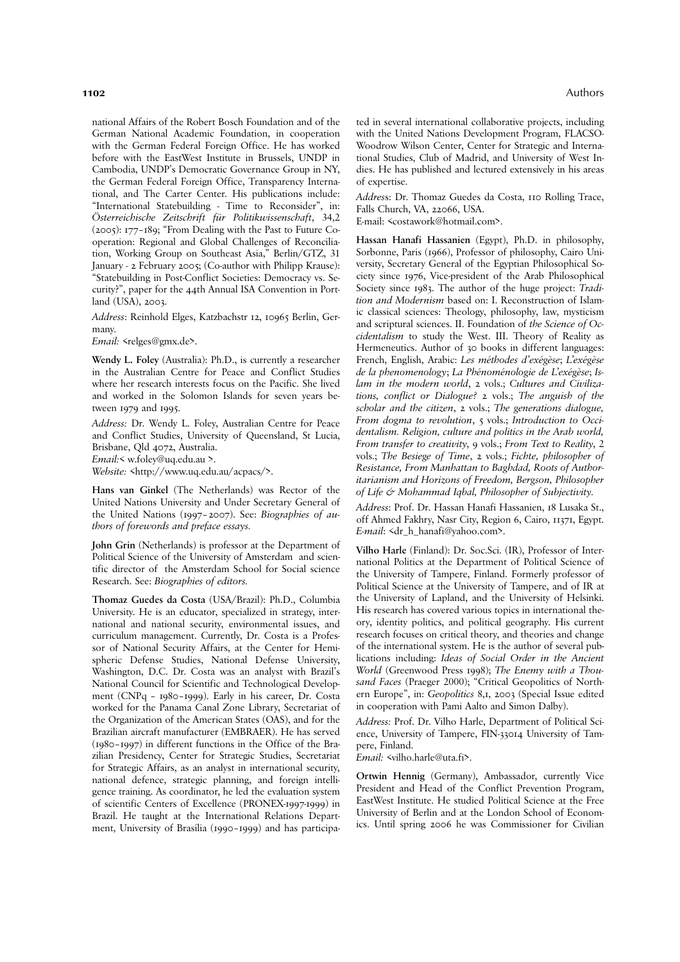national Affairs of the Robert Bosch Foundation and of the German National Academic Foundation, in cooperation with the German Federal Foreign Office. He has worked before with the EastWest Institute in Brussels, UNDP in Cambodia, UNDP's Democratic Governance Group in NY, the German Federal Foreign Office, Transparency International, and The Carter Center. His publications include: "International Statebuilding - Time to Reconsider", in: *Österreichische Zeitschrift für Politikwissenschaft*, 34,2 (2005): 177–189; "From Dealing with the Past to Future Cooperation: Regional and Global Challenges of Reconciliation, Working Group on Southeast Asia," Berlin/GTZ, 31 January - 2 February 2005; (Co-author with Philipp Krause): "Statebuilding in Post-Conflict Societies: Democracy vs. Security?", paper for the 44th Annual ISA Convention in Portland (USA), 2003.

*Address*: Reinhold Elges, Katzbachstr 12, 10965 Berlin, Germany.

*Email:* <relges@gmx.de>.

**Wendy L. Foley** (Australia): Ph.D., is currently a researcher in the Australian Centre for Peace and Conflict Studies where her research interests focus on the Pacific. She lived and worked in the Solomon Islands for seven years between 1979 and 1995.

*Address:* Dr. Wendy L. Foley, Australian Centre for Peace and Conflict Studies, University of Queensland, St Lucia, Brisbane, Qld 4072, Australia. *Email:<* w.foley@uq.edu.au >.

*Website: <*http://www.uq.edu.au/acpacs/>.

**Hans van Ginkel** (The Netherlands) was Rector of the United Nations University and Under Secretary General of the United Nations (1997– 2007). See: *Biographies of authors of forewords and preface essays.*

**John Grin** (Netherlands) is professor at the Department of Political Science of the University of Amsterdam and scientific director of the Amsterdam School for Social science Research. See: *Biographies of editors.*

**Thomaz Guedes da Costa** (USA/Brazil): Ph.D., Columbia University. He is an educator, specialized in strategy, international and national security, environmental issues, and curriculum management. Currently, Dr. Costa is a Professor of National Security Affairs, at the Center for Hemispheric Defense Studies, National Defense University, Washington, D.C. Dr. Costa was an analyst with Brazil's National Council for Scientific and Technological Development (CNPq – 1980–1999). Early in his career, Dr. Costa worked for the Panama Canal Zone Library, Secretariat of the Organization of the American States (OAS), and for the Brazilian aircraft manufacturer (EMBRAER). He has served (1980–1997) in different functions in the Office of the Brazilian Presidency, Center for Strategic Studies, Secretariat for Strategic Affairs, as an analyst in international security, national defence, strategic planning, and foreign intelligence training. As coordinator, he led the evaluation system of scientific Centers of Excellence (PRONEX-1997-1999) in Brazil. He taught at the International Relations Department, University of Brasília (1990–1999) and has participated in several international collaborative projects, including with the United Nations Development Program, FLACSO-Woodrow Wilson Center, Center for Strategic and International Studies, Club of Madrid, and University of West Indies. He has published and lectured extensively in his areas of expertise.

*Addres*s: Dr. Thomaz Guedes da Costa, 110 Rolling Trace, Falls Church, VA, 22066, USA.

E-mail: <costawork@hotmail.com>.

**Hassan Hanafi Hassanien** (Egypt), Ph.D. in philosophy, Sorbonne, Paris (1966), Professor of philosophy, Cairo University, Secretary General of the Egyptian Philosophical Society since 1976, Vice-president of the Arab Philosophical Society since 1983. The author of the huge project: *Tradition and Modernism* based on: I. Reconstruction of Islamic classical sciences: Theology, philosophy, law, mysticism and scriptural sciences. II. Foundation of *the Science of Occidentalism* to study the West. III. Theory of Reality as Hermeneutics. Author of 30 books in different languages: French, English, Arabic: *Les méthodes d'exégèse*; *L'exégèse de la phenomenology*; *La Phénoménologie de L'exégèse*; *Islam in the modern world*, 2 vols.; *Cultures and Civilizations, conflict or Dialogue?* 2 vols.; *The anguish of the scholar and the citizen*, 2 vols.; *The generations dialogue, From dogma to revolution*, 5 vols.; *Introduction to Occidentalism. Religion, culture and politics in the Arab world, From transfer to creativity*, 9 vols.; *From Text to Reality*, 2 vols.; *The Besiege of Time*, 2 vols.; *Fichte, philosopher of Resistance, From Manhattan to Baghdad, Roots of Authoritarianism and Horizons of Freedom, Bergson, Philosopher of Life & Mohammad Iqbal, Philosopher of Subjectivity*.

*Address*: Prof. Dr. Hassan Hanafi Hassanien, 18 Lusaka St., off Ahmed Fakhry, Nasr City, Region 6, Cairo, 11371, Egypt. *E-mail*: <dr\_h\_hanafi@yahoo.com>.

**Vilho Harle** (Finland): Dr. Soc.Sci. (IR), Professor of International Politics at the Department of Political Science of the University of Tampere, Finland. Formerly professor of Political Science at the University of Tampere, and of IR at the University of Lapland, and the University of Helsinki. His research has covered various topics in international theory, identity politics, and political geography. His current research focuses on critical theory, and theories and change of the international system. He is the author of several publications including: *Ideas of Social Order in the Ancient World* (Greenwood Press 1998); *The Enemy with a Thousand Faces* (Praeger 2000); "Critical Geopolitics of Northern Europe", in: *Geopolitics* 8,1, 2003 (Special Issue edited in cooperation with Pami Aalto and Simon Dalby).

*Address:* Prof. Dr. Vilho Harle, Department of Political Science, University of Tampere, FIN-33014 University of Tampere, Finland.

*Email:* <vilho.harle@uta.fi>.

**Ortwin Hennig** (Germany), Ambassador, currently Vice President and Head of the Conflict Prevention Program, EastWest Institute. He studied Political Science at the Free University of Berlin and at the London School of Economics. Until spring 2006 he was Commissioner for Civilian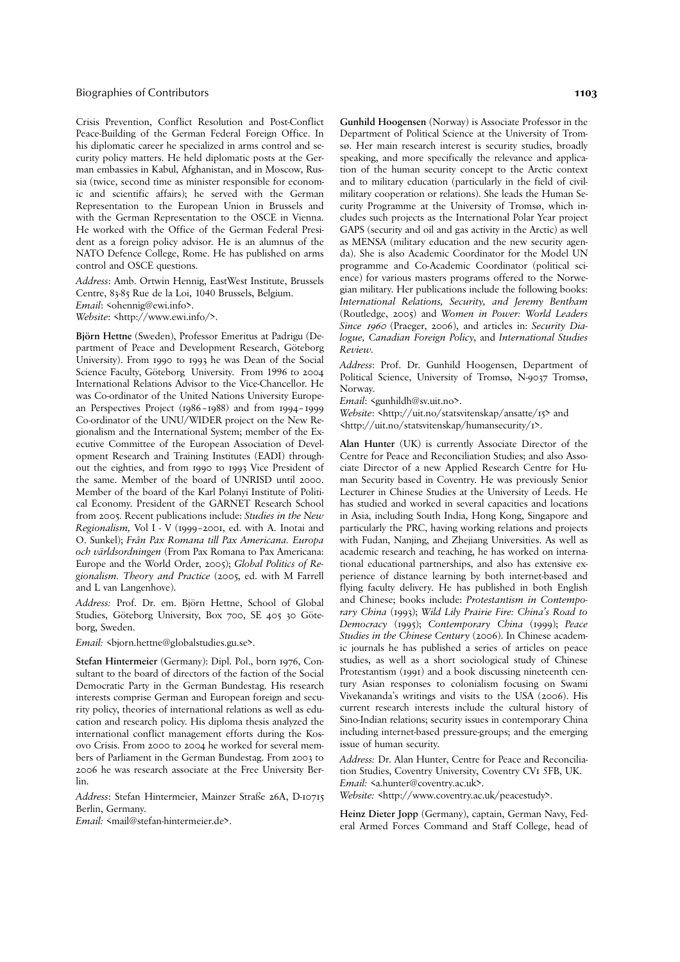Crisis Prevention, Conflict Resolution and Post-Conflict Peace-Building of the German Federal Foreign Office. In his diplomatic career he specialized in arms control and security policy matters. He held diplomatic posts at the German embassies in Kabul, Afghanistan, and in Moscow, Russia (twice, second time as minister responsible for economic and scientific affairs); he served with the German Representation to the European Union in Brussels and with the German Representation to the OSCE in Vienna. He worked with the Office of the German Federal President as a foreign policy advisor. He is an alumnus of the NATO Defence College, Rome. He has published on arms control and OSCE questions.

*Address*: Amb. Ortwin Hennig, EastWest Institute, Brussels Centre, 83-85 Rue de la Loi, 1040 Brussels, Belgium. *Email*: <br/>ohennig@ewi.info>. *Website*: <http://www.ewi.info/>.

**Björn Hettne** (Sweden), Professor Emeritus at Padrigu (Department of Peace and Development Research, Göteborg University). From 1990 to 1993 he was Dean of the Social Science Faculty, Göteborg University. From 1996 to 2004 International Relations Advisor to the Vice-Chancellor. He was Co-ordinator of the United Nations University European Perspectives Project (1986 –1988) and from 1994–1999 Co-ordinator of the UNU/WIDER project on the New Regionalism and the International System; member of the Executive Committee of the European Association of Development Research and Training Institutes (EADI) throughout the eighties, and from 1990 to 1993 Vice President of the same. Member of the board of UNRISD until 2000. Member of the board of the Karl Polanyi Institute of Political Economy. President of the GARNET Research School from 2005. Recent publications include: *Studies in the New Regionalism,* Vol I - V (1999–2001, ed. with A. Inotai and O. Sunkel); *Från Pax Romana till Pax Americana. Europa och världsordningen* (From Pax Romana to Pax Americana: Europe and the World Order, 2005); *Global Politics of Regionalism. Theory and Practice* (2005, ed. with M Farrell and L van Langenhove).

*Address:* Prof. Dr. em. Björn Hettne, School of Global Studies, Göteborg University, Box 700, SE 405 30 Göteborg, Sweden.

*Email:* <br/>bjorn.hettne@globalstudies.gu.se>.

**Stefan Hintermeier** (Germany): Dipl. Pol., born 1976, Consultant to the board of directors of the faction of the Social Democratic Party in the German Bundestag. His research interests comprise German and European foreign and security policy, theories of international relations as well as education and research policy. His diploma thesis analyzed the international conflict management efforts during the Kosovo Crisis. From 2000 to 2004 he worked for several members of Parliament in the German Bundestag. From 2003 to 2006 he was research associate at the Free University Berlin.

*Address*: Stefan Hintermeier, Mainzer Straße 26A, D-10715 Berlin, Germany.

*Email:* <mail@stefan-hintermeier.de>.

**Gunhild Hoogensen** (Norway) is Associate Professor in the Department of Political Science at the University of Tromsø. Her main research interest is security studies, broadly speaking, and more specifically the relevance and application of the human security concept to the Arctic context and to military education (particularly in the field of civilmilitary cooperation or relations). She leads the Human Security Programme at the University of Tromsø, which includes such projects as the International Polar Year project GAPS (security and oil and gas activity in the Arctic) as well as MENSA (military education and the new security agenda). She is also Academic Coordinator for the Model UN programme and Co-Academic Coordinator (political science) for various masters programs offered to the Norwegian military. Her publications include the following books: *International Relations, Security, and Jeremy Bentham* (Routledge, 2005) and *Women in Power: World Leaders Since* 1960 (Praeger, 2006), and articles in: *Security Dialogue, Canadian Foreign Policy*, and *International Studies Review*.

*Address*: Prof. Dr. Gunhild Hoogensen, Department of Political Science, University of Tromsø, N-9037 Tromsø, Norway.

*Email*: <gunhildh@sv.uit.no>.

*Website*: <http://uit.no/statsvitenskap/ansatte/15> and <http://uit.no/statsvitenskap/humansecurity/1>.

**Alan Hunter** (UK) is currently Associate Director of the Centre for Peace and Reconciliation Studies; and also Associate Director of a new Applied Research Centre for Human Security based in Coventry. He was previously Senior Lecturer in Chinese Studies at the University of Leeds. He has studied and worked in several capacities and locations in Asia, including South India, Hong Kong, Singapore and particularly the PRC, having working relations and projects with Fudan, Nanjing, and Zhejiang Universities. As well as academic research and teaching, he has worked on international educational partnerships, and also has extensive experience of distance learning by both internet-based and flying faculty delivery. He has published in both English and Chinese; books include: *Protestantism in Contemporary China* (1993); *Wild Lily Prairie Fire: China's Road to Democracy* (1995); *Contemporary China* (1999); *Peace Studies in the Chinese Century* (2006). In Chinese academic journals he has published a series of articles on peace studies, as well as a short sociological study of Chinese Protestantism (1991) and a book discussing nineteenth century Asian responses to colonialism focusing on Swami Vivekananda's writings and visits to the USA (2006). His current research interests include the cultural history of Sino-Indian relations; security issues in contemporary China including internet-based pressure-groups; and the emerging issue of human security.

*Address:* Dr. Alan Hunter, Centre for Peace and Reconciliation Studies, Coventry University, Coventry CV1 5FB, UK. *Email:* <a.hunter@coventry.ac.uk>.

Website: <http://www.coventry.ac.uk/peacestudy>.

**Heinz Dieter Jopp** (Germany), captain, German Navy, Federal Armed Forces Command and Staff College, head of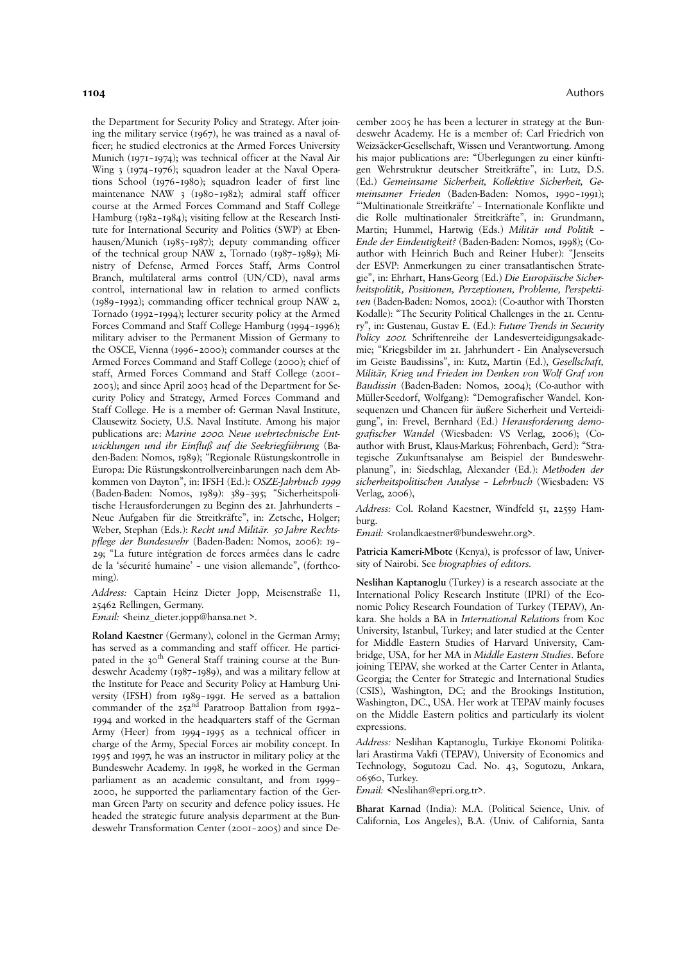the Department for Security Policy and Strategy. After joining the military service (1967), he was trained as a naval officer; he studied electronics at the Armed Forces University Munich (1971–1974); was technical officer at the Naval Air Wing 3 (1974–1976); squadron leader at the Naval Operations School (1976–1980); squadron leader of first line maintenance NAW 3 (1980–1982); admiral staff officer course at the Armed Forces Command and Staff College Hamburg (1982–1984); visiting fellow at the Research Institute for International Security and Politics (SWP) at Ebenhausen/Munich (1985–1987); deputy commanding officer of the technical group NAW 2, Tornado (1987–1989); Ministry of Defense, Armed Forces Staff, Arms Control Branch, multilateral arms control (UN/CD), naval arms control, international law in relation to armed conflicts (1989–1992); commanding officer technical group NAW 2, Tornado (1992–1994); lecturer security policy at the Armed Forces Command and Staff College Hamburg (1994–1996); military adviser to the Permanent Mission of Germany to the OSCE, Vienna (1996–2000); commander courses at the Armed Forces Command and Staff College (2000); chief of staff, Armed Forces Command and Staff College (2001– 2003); and since April 2003 head of the Department for Security Policy and Strategy, Armed Forces Command and Staff College. He is a member of: German Naval Institute, Clausewitz Society, U.S. Naval Institute. Among his major publications are: *Marine* 2000*. Neue wehrtechnische Entwicklungen und ihr Einfluß auf die Seekriegführung* (Baden-Baden: Nomos, 1989); "Regionale Rüstungskontrolle in Europa: Die Rüstungskontrollvereinbarungen nach dem Abkommen von Dayton", in: IFSH (Ed.): *OSZE-Jahrbuch* <sup>1999</sup> (Baden-Baden: Nomos, 1989): 389–395; "Sicherheitspolitische Herausforderungen zu Beginn des 21. Jahrhunderts – Neue Aufgaben für die Streitkräfte", in: Zetsche, Holger; Weber, Stephan (Eds.): *Recht und Militär.* 50 *Jahre Rechtspflege der Bundeswehr* (Baden-Baden: Nomos, 2006): 19– 29; "La future intégration de forces armées dans le cadre de la 'sécurité humaine' – une vision allemande", (forthcoming).

*Address:* Captain Heinz Dieter Jopp, Meisenstraße 11, 25462 Rellingen, Germany*.*

*Email:* <heinz\_dieter.jopp@hansa.net >.

**Roland Kaestner** (Germany), colonel in the German Army; has served as a commanding and staff officer. He participated in the 30<sup>th</sup> General Staff training course at the Bundeswehr Academy (1987–1989), and was a military fellow at the Institute for Peace and Security Policy at Hamburg University (IFSH) from 1989–1991. He served as a battalion commander of the  $252<sup>nd</sup>$  Paratroop Battalion from 1992-1994 and worked in the headquarters staff of the German Army (Heer) from 1994–1995 as a technical officer in charge of the Army, Special Forces air mobility concept. In 1995 and 1997, he was an instructor in military policy at the Bundeswehr Academy. In 1998, he worked in the German parliament as an academic consultant, and from 1999– 2000, he supported the parliamentary faction of the German Green Party on security and defence policy issues. He headed the strategic future analysis department at the Bundeswehr Transformation Center (2001–2005) and since De-

cember 2005 he has been a lecturer in strategy at the Bundeswehr Academy. He is a member of: Carl Friedrich von Weizsäcker-Gesellschaft, Wissen und Verantwortung. Among his major publications are: "Überlegungen zu einer künftigen Wehrstruktur deutscher Streitkräfte", in: Lutz, D.S. (Ed.) *Gemeinsame Sicherheit, Kollektive Sicherheit, Gemeinsamer Frieden* (Baden-Baden: Nomos, 1990–1991); "'Multinationale Streitkräfte' – Internationale Konflikte und die Rolle multinationaler Streitkräfte", in: Grundmann, Martin; Hummel, Hartwig (Eds.) *Militär und Politik – Ende der Eindeutigkeit?* (Baden-Baden: Nomos, 1998); (Coauthor with Heinrich Buch and Reiner Huber): "Jenseits der ESVP: Anmerkungen zu einer transatlantischen Strategie", in: Ehrhart, Hans-Georg (Ed.) *Die Europäische Sicherheitspolitik, Positionen, Perzeptionen, Probleme, Perspektiven* (Baden-Baden: Nomos, 2002): (Co-author with Thorsten Kodalle): "The Security Political Challenges in the 21. Century", in: Gustenau, Gustav E. (Ed.): *Future Trends in Security Policy* 2001. Schriftenreihe der Landesverteidigungsakademie; "Kriegsbilder im 21. Jahrhundert - Ein Analyseversuch im Geiste Baudissins", in: Kutz, Martin (Ed.), *Gesellschaft, Militär, Krieg und Frieden im Denken von Wolf Graf von Baudissin* (Baden-Baden: Nomos, 2004); (Co-author with Müller-Seedorf, Wolfgang): "Demografischer Wandel. Konsequenzen und Chancen für äußere Sicherheit und Verteidigung", in: Frevel, Bernhard (Ed.) *Herausforderung demografischer Wandel* (Wiesbaden: VS Verlag, 2006); (Coauthor with Brust, Klaus-Markus; Föhrenbach, Gerd): "Strategische Zukunftsanalyse am Beispiel der Bundeswehrplanung", in: Siedschlag, Alexander (Ed.): *Methoden der sicherheitspolitischen Analyse – Lehrbuch* (Wiesbaden: VS Verlag, 2006),

*Address:* Col. Roland Kaestner, Windfeld 51, 22559 Hamburg.

*Email:* <rolandkaestner@bundeswehr.org>.

**Patricia Kameri-Mbote** (Kenya), is professor of law, University of Nairobi. See *biographies of editors.*

**Neslihan Kaptanoglu** (Turkey) is a research associate at the International Policy Research Institute (IPRI) of the Economic Policy Research Foundation of Turkey (TEPAV), Ankara. She holds a BA in *International Relations* from Koc University, Istanbul, Turkey; and later studied at the Center for Middle Eastern Studies of Harvard University, Cambridge, USA, for her MA in *Middle Eastern Studies*. Before joining TEPAV, she worked at the Carter Center in Atlanta, Georgia; the Center for Strategic and International Studies (CSIS), Washington, DC; and the Brookings Institution, Washington, DC., USA. Her work at TEPAV mainly focuses on the Middle Eastern politics and particularly its violent expressions.

*Address:* Neslihan Kaptanoglu, Turkiye Ekonomi Politikalari Arastirma Vakfi (TEPAV), University of Economics and Technology, Sogutozu Cad. No. 43, Sogutozu, Ankara, 06560, Turkey.

*Email:* **<**Neslihan@epri.org.tr>.

**Bharat Karnad** (India): M.A. (Political Science, Univ. of California, Los Angeles), B.A. (Univ. of California, Santa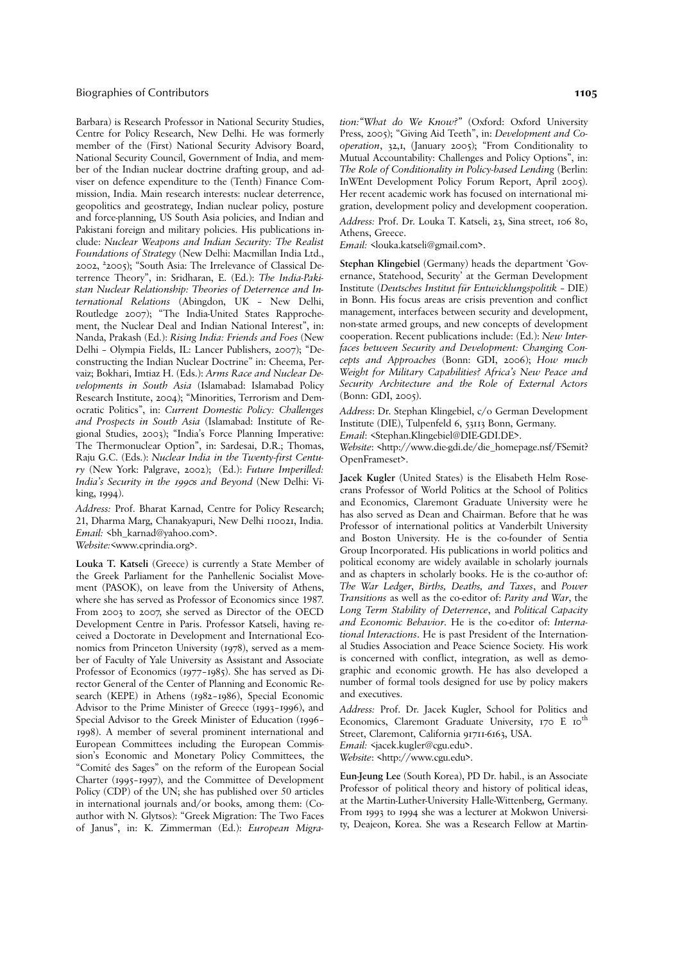Barbara) is Research Professor in National Security Studies, Centre for Policy Research, New Delhi. He was formerly member of the (First) National Security Advisory Board, National Security Council, Government of India, and member of the Indian nuclear doctrine drafting group, and adviser on defence expenditure to the (Tenth) Finance Commission, India. Main research interests: nuclear deterrence, geopolitics and geostrategy, Indian nuclear policy, posture and force-planning, US South Asia policies, and Indian and Pakistani foreign and military policies. His publications include: *Nuclear Weapons and Indian Security: The Realist Foundations of Strategy* (New Delhi: Macmillan India Ltd., 2002, <sup>2</sup> 2005); "South Asia: The Irrelevance of Classical Deterrence Theory", in: Sridharan, E. (Ed.): *The India-Pakistan Nuclear Relationship: Theories of Deterrence and International Relations* (Abingdon, UK – New Delhi, Routledge 2007); "The India-United States Rapprochement, the Nuclear Deal and Indian National Interest", in: Nanda, Prakash (Ed.): *Rising India: Friends and Foes* (New Delhi – Olympia Fields, IL: Lancer Publishers, 2007); "Deconstructing the Indian Nuclear Doctrine" in: Cheema, Pervaiz; Bokhari, Imtiaz H. (Eds.): *Arms Race and Nuclear Developments in South Asia* (Islamabad: Islamabad Policy Research Institute, 2004); "Minorities, Terrorism and Democratic Politics", in: *Current Domestic Policy: Challenges and Prospects in South Asia* (Islamabad: Institute of Regional Studies, 2003); "India's Force Planning Imperative: The Thermonuclear Option", in: Sardesai, D.R.; Thomas, Raju G.C. (Eds.): *Nuclear India in the Twenty-first Century* (New York: Palgrave, 2002); (Ed.): *Future Imperilled: India's Security in the* 1990*s and Beyond* (New Delhi: Viking, 1994).

*Address:* Prof. Bharat Karnad, Centre for Policy Research; 21, Dharma Marg, Chanakyapuri, New Delhi 110021, India. *Email:* <br />bh karnad@yahoo.com>. *Website:*<www.cprindia.org>.

**Louka T. Katseli** (Greece) is currently a State Member of the Greek Parliament for the Panhellenic Socialist Movement (PASOK), on leave from the University of Athens, where she has served as Professor of Economics since 1987. From 2003 to 2007, she served as Director of the OECD Development Centre in Paris. Professor Katseli, having received a Doctorate in Development and International Economics from Princeton University (1978), served as a member of Faculty of Yale University as Assistant and Associate Professor of Economics (1977–1985). She has served as Director General of the Center of Planning and Economic Research (KEPE) in Athens (1982–1986), Special Economic Advisor to the Prime Minister of Greece (1993–1996), and Special Advisor to the Greek Minister of Education (1996– 1998). A member of several prominent international and European Committees including the European Commission's Economic and Monetary Policy Committees, the "Comité des Sages" on the reform of the European Social Charter (1995–1997), and the Committee of Development Policy (CDP) of the UN; she has published over 50 articles in international journals and/or books, among them: (Coauthor with N. Glytsos): "Greek Migration: The Two Faces of Janus", in: K. Zimmerman (Ed.): *European Migra-* *tion:"What do We Know?"* (Oxford: Oxford University Press, 2005); "Giving Aid Teeth", in: *Development and Cooperation*, 32,1, (January 2005); "From Conditionality to Mutual Accountability: Challenges and Policy Options", in: *The Role of Conditionality in Policy-based Lending* (Berlin: InWEnt Development Policy Forum Report, April 2005). Her recent academic work has focused on international migration, development policy and development cooperation.

*Address:* Prof. Dr. Louka T. Katseli, 23, Sina street, 106 80, Athens, Greece.

*Email:* <louka.katseli@gmail.com>.

**Stephan Klingebiel** (Germany) heads the department 'Governance, Statehood, Security' at the German Development Institute (*Deutsches Institut für Entwicklungspolitik* – DIE) in Bonn. His focus areas are crisis prevention and conflict management, interfaces between security and development, non-state armed groups, and new concepts of development cooperation. Recent publications include: (Ed.): *New Interfaces between Security and Development: Changing Concepts and Approaches* (Bonn: GDI, 2006); *How much Weight for Military Capabilities? Africa's New Peace and Security Architecture and the Role of External Actors* (Bonn: GDI, 2005).

*Address*: Dr. Stephan Klingebiel, c/o German Development Institute (DIE), Tulpenfeld 6, 53113 Bonn, Germany.

*Email*: <Stephan.Klingebiel@DIE-GDI.DE>.

*Website*: <http://www.die-gdi.de/die\_homepage.nsf/FSemit? OpenFrameset>.

**Jacek Kugler** (United States) is the Elisabeth Helm Rosecrans Professor of World Politics at the School of Politics and Economics, Claremont Graduate University were he has also served as Dean and Chairman. Before that he was Professor of international politics at Vanderbilt University and Boston University. He is the co-founder of Sentia Group Incorporated. His publications in world politics and political economy are widely available in scholarly journals and as chapters in scholarly books. He is the co-author of: *The War Ledger*, *Births, Deaths, and Taxes*, and *Power Transitions* as well as the co-editor of: *Parity and War*, the *Long Term Stability of Deterrence*, and *Political Capacity and Economic Behavior*. He is the co-editor of: *International Interactions*. He is past President of the International Studies Association and Peace Science Society*.* His work is concerned with conflict, integration, as well as demographic and economic growth. He has also developed a number of formal tools designed for use by policy makers and executives.

*Address:* Prof. Dr. Jacek Kugler, School for Politics and Economics, Claremont Graduate University,  $170$  E  $10^{th}$ Street, Claremont, California 91711-6163, USA. *Email:* <jacek.kugler@cgu.edu>. *Website*: <http://www.cgu.edu>.

**Eun-Jeung Lee** (South Korea), PD Dr. habil., is an Associate Professor of political theory and history of political ideas, at the Martin-Luther-University Halle-Wittenberg, Germany. From 1993 to 1994 she was a lecturer at Mokwon University, Deajeon, Korea. She was a Research Fellow at Martin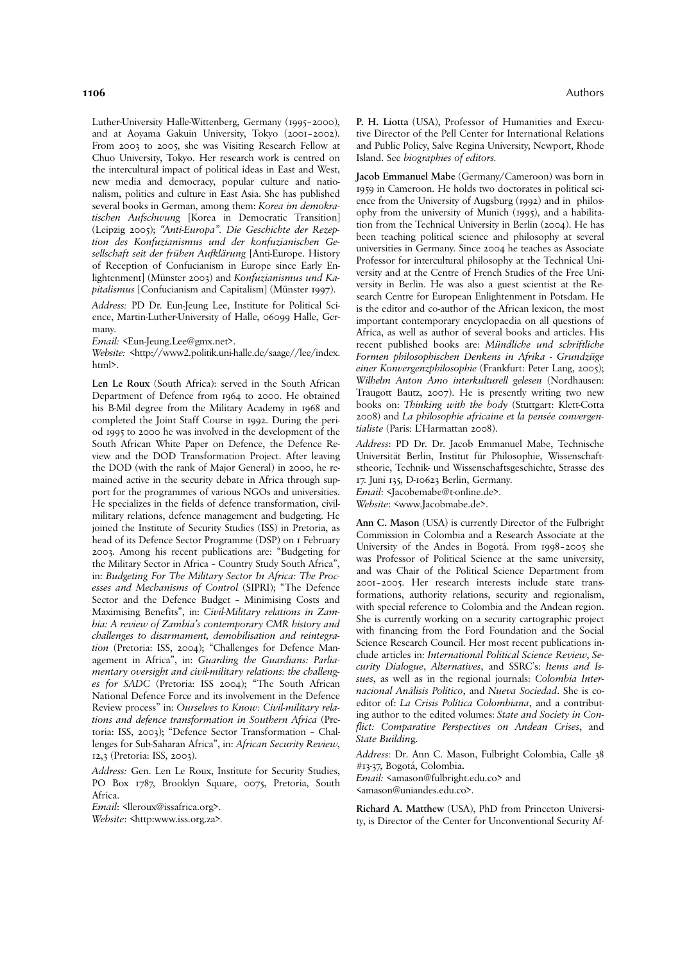Luther-University Halle-Wittenberg, Germany (1995–2000), and at Aoyama Gakuin University, Tokyo (2001–2002). From 2003 to 2005, she was Visiting Research Fellow at Chuo University, Tokyo. Her research work is centred on the intercultural impact of political ideas in East and West, new media and democracy, popular culture and nationalism, politics and culture in East Asia. She has published several books in German, among them: *Korea im demokratischen Aufschwung* [Korea in Democratic Transition] (Leipzig 2005); *"Anti-Europa". Die Geschichte der Rezeption des Konfuzianismus und der konfuzianischen Gesellschaft seit der frühen Aufklärung* [Anti-Europe. History of Reception of Confucianism in Europe since Early Enlightenment] (Münster 2003) and *Konfuzianismus und Kapitalismus* [Confucianism and Capitalism] (Münster 1997).

*Address:* PD Dr. Eun-Jeung Lee, Institute for Political Science, Martin-Luther-University of Halle, 06099 Halle, Germany.

*Email: <*Eun-Jeung.Lee@gmx.net>.

*Website:* <http://www2.politik.uni-halle.de/saage//lee/index. html>.

**Len Le Roux** (South Africa): served in the South African Department of Defence from 1964 to 2000. He obtained his B-Mil degree from the Military Academy in 1968 and completed the Joint Staff Course in 1992. During the period 1995 to 2000 he was involved in the development of the South African White Paper on Defence, the Defence Review and the DOD Transformation Project. After leaving the DOD (with the rank of Major General) in 2000, he remained active in the security debate in Africa through support for the programmes of various NGOs and universities. He specializes in the fields of defence transformation, civilmilitary relations, defence management and budgeting. He joined the Institute of Security Studies (ISS) in Pretoria, as head of its Defence Sector Programme (DSP) on 1 February 2003. Among his recent publications are: "Budgeting for the Military Sector in Africa – Country Study South Africa", in: *Budgeting For The Military Sector In Africa: The Processes and Mechanisms of Control* (SIPRI); "The Defence Sector and the Defence Budget – Minimising Costs and Maximising Benefits", in: *Civil-Military relations in Zambia: A review of Zambia's contemporary CMR history and challenges to disarmament, demobilisation and reintegration* (Pretoria: ISS, 2004); "Challenges for Defence Management in Africa", in: *Guarding the Guardians: Parliamentary oversight and civil-military relations: the challenges for SADC* (Pretoria: ISS 2004); "The South African National Defence Force and its involvement in the Defence Review process" in: *Ourselves to Know: Civil-military relations and defence transformation in Southern Africa* (Pretoria: ISS, 2003); "Defence Sector Transformation – Challenges for Sub-Saharan Africa", in: *African Security Review*, 12,3 (Pretoria: ISS, 2003).

*Address:* Gen. Len Le Roux, Institute for Security Studies, PO Box 1787, Brooklyn Square, 0075, Pretoria, South Africa.

*Email*: <lleroux@issafrica.org>.

*Website*: <http:www.iss.org.za>*.*

**P. H. Liotta** (USA), Professor of Humanities and Executive Director of the Pell Center for International Relations and Public Policy, Salve Regina University, Newport, Rhode Island. See *biographies of editors.*

**Jacob Emmanuel Mabe** (Germany/Cameroon) was born in 1959 in Cameroon. He holds two doctorates in political science from the University of Augsburg (1992) and in philosophy from the university of Munich (1995), and a habilitation from the Technical University in Berlin (2004). He has been teaching political science and philosophy at several universities in Germany. Since 2004 he teaches as Associate Professor for intercultural philosophy at the Technical University and at the Centre of French Studies of the Free University in Berlin. He was also a guest scientist at the Research Centre for European Enlightenment in Potsdam. He is the editor and co-author of the African lexicon, the most important contemporary encyclopaedia on all questions of Africa, as well as author of several books and articles. His recent published books are: *Mündliche und schriftliche Formen philosophischen Denkens in Afrika - Grundzüge einer Konvergenzphilosophie* (Frankfurt: Peter Lang, 2005); *Wilhelm Anton Amo interkulturell gelesen* (Nordhausen: Traugott Bautz, 2007). He is presently writing two new books on: *Thinking with the body* (Stuttgart: Klett-Cotta 2008) and *La philosophie africaine et la pensée convergentialiste* (Paris: L'Harmattan 2008).

*Address*: PD Dr. Dr. Jacob Emmanuel Mabe, Technische Universität Berlin, Institut für Philosophie, Wissenschaftstheorie, Technik- und Wissenschaftsgeschichte, Strasse des 17. Juni 135, D-10623 Berlin, Germany. *Email*: <Jacobemabe@t-online.de>.

*Website*: <www.Jacobmabe.de>.

**Ann C. Mason** (USA) is currently Director of the Fulbright Commission in Colombia and a Research Associate at the University of the Andes in Bogotá. From 1998–2005 she was Professor of Political Science at the same university, and was Chair of the Political Science Department from 2001–2005. Her research interests include state transformations, authority relations, security and regionalism, with special reference to Colombia and the Andean region. She is currently working on a security cartographic project with financing from the Ford Foundation and the Social Science Research Council. Her most recent publications include articles in: *International Political Science Review*, *Security Dialogue*, *Alternatives*, and SSRC's: *Items and Issues*, as well as in the regional journals: *Colombia Internacional Análisis Político*, and *Nueva Sociedad*. She is coeditor of: *La Crisis Política Colombiana*, and a contributing author to the edited volumes: *State and Society in Conflict: Comparative Perspectives on Andean Crises*, and *State Buildin*g.

*Address:* Dr. Ann C. Mason, Fulbright Colombia, Calle 38 #13-37, Bogotá, Colombia**.**

*Email:* <amason@fulbright.edu.co> and <amason@uniandes.edu.co>.

**Richard A. Matthew** (USA), PhD from Princeton University, is Director of the Center for Unconventional Security Af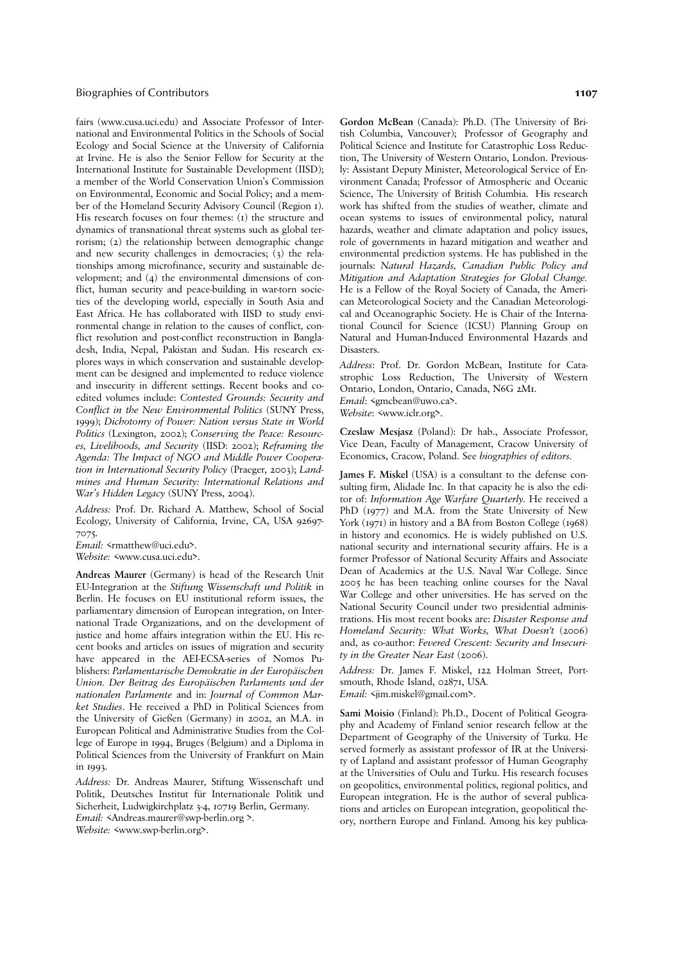fairs (www.cusa.uci.edu) and Associate Professor of International and Environmental Politics in the Schools of Social Ecology and Social Science at the University of California at Irvine. He is also the Senior Fellow for Security at the International Institute for Sustainable Development (IISD); a member of the World Conservation Union's Commission on Environmental, Economic and Social Policy; and a member of the Homeland Security Advisory Council (Region 1). His research focuses on four themes: (1) the structure and dynamics of transnational threat systems such as global terrorism; (2) the relationship between demographic change and new security challenges in democracies; (3) the relationships among microfinance, security and sustainable development; and (4) the environmental dimensions of conflict, human security and peace-building in war-torn societies of the developing world, especially in South Asia and East Africa. He has collaborated with IISD to study environmental change in relation to the causes of conflict, conflict resolution and post-conflict reconstruction in Bangladesh, India, Nepal, Pakistan and Sudan. His research explores ways in which conservation and sustainable development can be designed and implemented to reduce violence and insecurity in different settings. Recent books and coedited volumes include: *Contested Grounds: Security and Conflict in the New Environmental Politics* (SUNY Press, 1999); *Dichotomy of Power: Nation versus State in World Politics* (Lexington, 2002); *Conserving the Peace: Resources, Livelihoods, and Security* (IISD: 2002); *Reframing the Agenda: The Impact of NGO and Middle Power Cooperation in International Security Policy* (Praeger, 2003); *Landmines and Human Security: International Relations and War's Hidden Legacy* (SUNY Press, 2004).

*Address:* Prof. Dr. Richard A. Matthew, School of Social Ecology, University of California, Irvine, CA, USA 92697- 7075.

*Email:* <rmatthew@uci.edu>.

*Website:* <www.cusa.uci.edu>.

**Andreas Maurer** (Germany) is head of the Research Unit EU-Integration at the *Stiftung Wissenschaft und Politik* in Berlin. He focuses on EU institutional reform issues, the parliamentary dimension of European integration, on International Trade Organizations, and on the development of justice and home affairs integration within the EU. His recent books and articles on issues of migration and security have appeared in the AEI-ECSA-series of Nomos Publishers: *Parlamentarische Demokratie in der Europäischen Union. Der Beitrag des Europäischen Parlaments und der nationalen Parlamente* and in: *Journal of Common Market Studies*. He received a PhD in Political Sciences from the University of Gießen (Germany) in 2002, an M.A. in European Political and Administrative Studies from the College of Europe in 1994, Bruges (Belgium) and a Diploma in Political Sciences from the University of Frankfurt on Main in 1993.

*Address:* Dr. Andreas Maurer, Stiftung Wissenschaft und Politik, Deutsches Institut für Internationale Politik und Sicherheit, Ludwigkirchplatz 3-4, 10719 Berlin, Germany. *Email:* <Andreas.maurer@swp-berlin.org >. *Website:* <www.swp-berlin.org>.

**Gordon McBean** (Canada): Ph.D. (The University of British Columbia, Vancouver); Professor of Geography and Political Science and Institute for Catastrophic Loss Reduction, The University of Western Ontario, London. Previously: Assistant Deputy Minister, Meteorological Service of Environment Canada; Professor of Atmospheric and Oceanic Science, The University of British Columbia. His research work has shifted from the studies of weather, climate and ocean systems to issues of environmental policy, natural hazards, weather and climate adaptation and policy issues, role of governments in hazard mitigation and weather and environmental prediction systems. He has published in the journals: *Natural Hazards, Canadian Public Policy and Mitigation and Adaptation Strategies for Global Change.* He is a Fellow of the Royal Society of Canada, the American Meteorological Society and the Canadian Meteorological and Oceanographic Society. He is Chair of the International Council for Science (ICSU) Planning Group on Natural and Human-Induced Environmental Hazards and Disasters.

*Address*: Prof. Dr. Gordon McBean, Institute for Catastrophic Loss Reduction, The University of Western Ontario, London, Ontario, Canada, N6G 2M1. *Email*: <gmcbean@uwo.ca>.

*Website*: <www.iclr.org>.

**Czeslaw Mesjasz** (Poland): Dr hab., Associate Professor, Vice Dean, Faculty of Management, Cracow University of Economics, Cracow, Poland. See *biographies of editors.*

**James F. Miskel** (USA) is a consultant to the defense consulting firm, Alidade Inc. In that capacity he is also the editor of: *Information Age Warfare Quarterly*. He received a PhD (1977) and M.A. from the State University of New York (1971) in history and a BA from Boston College (1968) in history and economics. He is widely published on U.S. national security and international security affairs. He is a former Professor of National Security Affairs and Associate Dean of Academics at the U.S. Naval War College. Since 2005 he has been teaching online courses for the Naval War College and other universities. He has served on the National Security Council under two presidential administrations. His most recent books are: *Disaster Response and Homeland Security: What Works, What Doesn't* (2006) and, as co-author: *Fevered Crescent: Security and Insecurity in the Greater Near East* (2006).

*Address:* Dr. James F. Miskel, 122 Holman Street, Portsmouth, Rhode Island, 02871, USA*. Email:* <jim.miskel@gmail.com>.

**Sami Moisio** (Finland): Ph.D., Docent of Political Geography and Academy of Finland senior research fellow at the Department of Geography of the University of Turku. He served formerly as assistant professor of IR at the University of Lapland and assistant professor of Human Geography at the Universities of Oulu and Turku. His research focuses on geopolitics, environmental politics, regional politics, and European integration. He is the author of several publications and articles on European integration, geopolitical theory, northern Europe and Finland. Among his key publica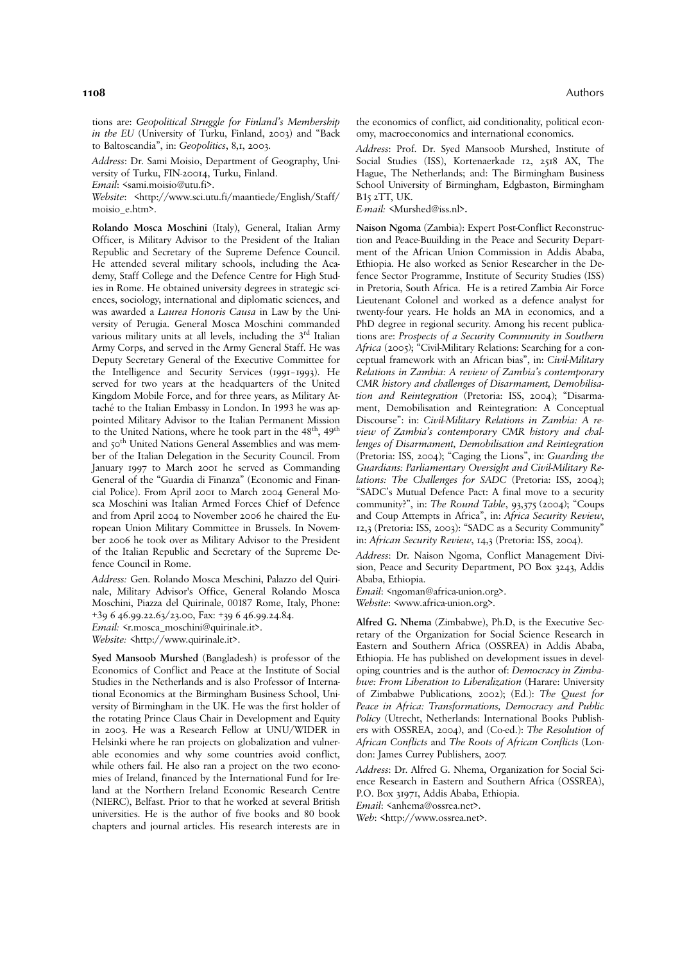tions are: *Geopolitical Struggle for Finland's Membership in the EU* (University of Turku, Finland, 2003) and "Back to Baltoscandia", in: *Geopolitics*, 8,1, 2003.

*Address*: Dr. Sami Moisio, Department of Geography, University of Turku, FIN-20014, Turku, Finland.

*Email*: <sami.moisio@utu.fi>.

*Website*: <http://www.sci.utu.fi/maantiede/English/Staff/ moisio\_e.htm>.

**Rolando Mosca Moschini** (Italy), General, Italian Army Officer, is Military Advisor to the President of the Italian Republic and Secretary of the Supreme Defence Council. He attended several military schools, including the Academy, Staff College and the Defence Centre for High Studies in Rome. He obtained university degrees in strategic sciences, sociology, international and diplomatic sciences, and was awarded a *Laurea Honoris Causa* in Law by the University of Perugia. General Mosca Moschini commanded various military units at all levels, including the  $3<sup>rd</sup>$  Italian Army Corps, and served in the Army General Staff. He was Deputy Secretary General of the Executive Committee for the Intelligence and Security Services (1991–1993). He served for two years at the headquarters of the United Kingdom Mobile Force, and for three years, as Military Attaché to the Italian Embassy in London. In 1993 he was appointed Military Advisor to the Italian Permanent Mission to the United Nations, where he took part in the  $48<sup>th</sup>$ ,  $49<sup>th</sup>$ and 50<sup>th</sup> United Nations General Assemblies and was member of the Italian Delegation in the Security Council. From January 1997 to March 2001 he served as Commanding General of the "Guardia di Finanza" (Economic and Financial Police). From April 2001 to March 2004 General Mosca Moschini was Italian Armed Forces Chief of Defence and from April 2004 to November 2006 he chaired the European Union Military Committee in Brussels. In November 2006 he took over as Military Advisor to the President of the Italian Republic and Secretary of the Supreme Defence Council in Rome.

*Address:* Gen. Rolando Mosca Meschini, Palazzo del Quirinale, Military Advisor's Office, General Rolando Mosca Moschini, Piazza del Quirinale, 00187 Rome, Italy, Phone: +39 6 46.99.22.63/23.00, Fax: +39 6 46.99.24.84. *Email:* <r.mosca\_moschini@quirinale.it>.

*Website:* <http://www.quirinale.it>.

**Syed Mansoob Murshed** (Bangladesh) is professor of the Economics of Conflict and Peace at the Institute of Social Studies in the Netherlands and is also Professor of International Economics at the Birmingham Business School, University of Birmingham in the UK. He was the first holder of the rotating Prince Claus Chair in Development and Equity in 2003. He was a Research Fellow at UNU/WIDER in Helsinki where he ran projects on globalization and vulnerable economies and why some countries avoid conflict, while others fail. He also ran a project on the two economies of Ireland, financed by the International Fund for Ireland at the Northern Ireland Economic Research Centre (NIERC), Belfast. Prior to that he worked at several British universities. He is the author of five books and 80 book chapters and journal articles. His research interests are in

the economics of conflict, aid conditionality, political economy, macroeconomics and international economics.

*Address*: Prof. Dr. Syed Mansoob Murshed, Institute of Social Studies (ISS), Kortenaerkade 12, 2518 AX, The Hague, The Netherlands; and: The Birmingham Business School University of Birmingham, Edgbaston, Birmingham B15 2TT, UK.

*E-mail:* <Murshed@iss.nl>**.**

**Naison Ngoma** (Zambia): Expert Post-Conflict Reconstruction and Peace-Buuilding in the Peace and Security Department of the African Union Commission in Addis Ababa, Ethiopia. He also worked as Senior Researcher in the Defence Sector Programme, Institute of Security Studies (ISS) in Pretoria, South Africa. He is a retired Zambia Air Force Lieutenant Colonel and worked as a defence analyst for twenty-four years. He holds an MA in economics, and a PhD degree in regional security. Among his recent publications are: *Prospects of a Security Community in Southern Africa* (2005); "Civil-Military Relations: Searching for a conceptual framework with an African bias", in: *Civil-Military Relations in Zambia: A review of Zambia's contemporary CMR history and challenges of Disarmament, Demobilisation and Reintegration* (Pretoria: ISS, 2004); "Disarmament, Demobilisation and Reintegration: A Conceptual Discourse": in: *Civil-Military Relations in Zambia: A review of Zambia's contemporary CMR history and challenges of Disarmament, Demobilisation and Reintegration* (Pretoria: ISS, 2004); "Caging the Lions", in: *Guarding the Guardians: Parliamentary Oversight and Civil-Military Relations: The Challenges for SADC* (Pretoria: ISS, 2004); "SADC's Mutual Defence Pact: A final move to a security community?", in: *The Round Table*, 93,375 (2004); "Coups and Coup Attempts in Africa", in: *Africa Security Review*, 12,3 (Pretoria: ISS, 2003): "SADC as a Security Community" in: *African Security Review*, 14,3 (Pretoria: ISS, 2004).

*Address*: Dr. Naison Ngoma, Conflict Management Division, Peace and Security Department, PO Box 3243, Addis Ababa, Ethiopia.

*Email*: <ngoman@africa-union.org>.

*Website*: <www.africa-union.org>.

**Alfred G. Nhema** (Zimbabwe), Ph.D, is the Executive Secretary of the Organization for Social Science Research in Eastern and Southern Africa (OSSREA) in Addis Ababa, Ethiopia. He has published on development issues in developing countries and is the author of: *Democracy in Zimbabwe: From Liberation to Liberalization* (Harare: University of Zimbabwe Publications*,* 2002); (Ed.): *The Quest for Peace in Africa: Transformations, Democracy and Public Policy* (Utrecht, Netherlands: International Books Publishers with OSSREA, 2004), and (Co-ed.): *The Resolution of African Conflicts* and *The Roots of African Conflicts* (London: James Currey Publishers, 2007.

*Address*: Dr. Alfred G. Nhema, Organization for Social Science Research in Eastern and Southern Africa (OSSREA), P.O. Box 31971, Addis Ababa, Ethiopia.

*Email*: <anhema@ossrea.net>.

Web: <http://www.ossrea.net>.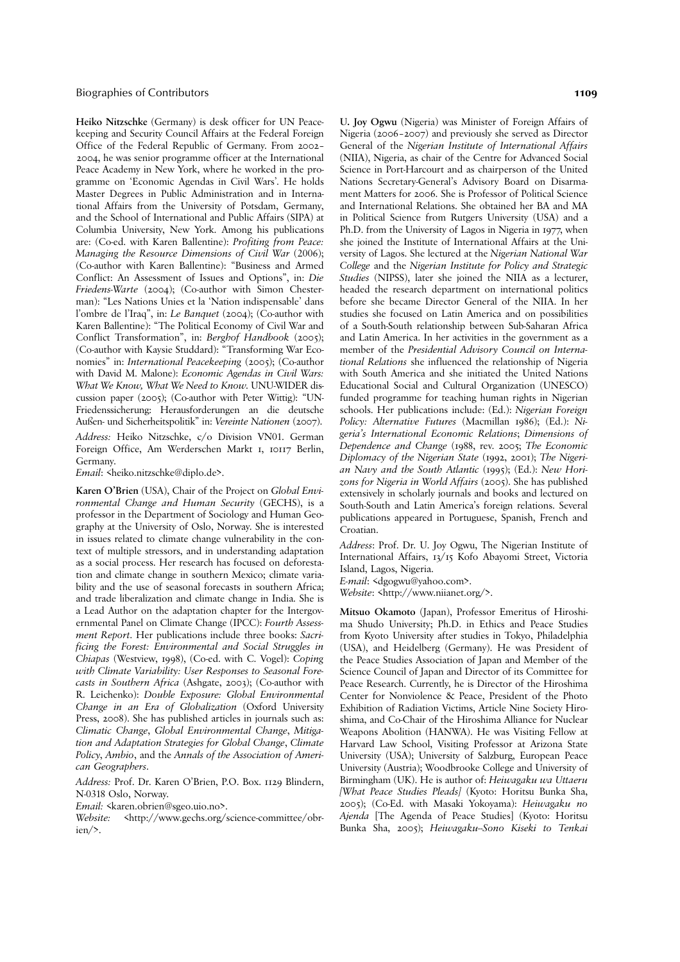**Heiko Nitzschke** (Germany) is desk officer for UN Peacekeeping and Security Council Affairs at the Federal Foreign Office of the Federal Republic of Germany. From 2002– 2004, he was senior programme officer at the International Peace Academy in New York, where he worked in the programme on 'Economic Agendas in Civil Wars'. He holds Master Degrees in Public Administration and in International Affairs from the University of Potsdam, Germany, and the School of International and Public Affairs (SIPA) at Columbia University, New York. Among his publications are: (Co-ed. with Karen Ballentine): *Profiting from Peace: Managing the Resource Dimensions of Civil War* (2006); (Co-author with Karen Ballentine): "Business and Armed Conflict: An Assessment of Issues and Options", in: *Die Friedens-Warte* (2004); (Co-author with Simon Chesterman): "Les Nations Unies et la 'Nation indispensable' dans l'ombre de l'Iraq", in: *Le Banquet* (2004); (Co-author with Karen Ballentine): "The Political Economy of Civil War and Conflict Transformation", in: *Berghof Handbook* (2005); (Co-author with Kaysie Studdard): "Transforming War Economies" in: *International Peacekeeping* (2005); (Co-author with David M. Malone): *Economic Agendas in Civil Wars: What We Know, What We Need to Know*. UNU-WIDER discussion paper (2005); (Co-author with Peter Wittig): "UN-Friedenssicherung: Herausforderungen an die deutsche Außen- und Sicherheitspolitik" in: *Vereinte Nationen* (2007).

*Address:* Heiko Nitzschke, c/o Division VN01. German Foreign Office, Am Werderschen Markt 1, 10117 Berlin, Germany.

*Email*: <heiko.nitzschke@diplo.de>.

**Karen O'Brien** (USA), Chair of the Project on *Global Environmental Change and Human Security* (GECHS), is a professor in the Department of Sociology and Human Geography at the University of Oslo, Norway. She is interested in issues related to climate change vulnerability in the context of multiple stressors, and in understanding adaptation as a social process. Her research has focused on deforestation and climate change in southern Mexico; climate variability and the use of seasonal forecasts in southern Africa; and trade liberalization and climate change in India. She is a Lead Author on the adaptation chapter for the Intergovernmental Panel on Climate Change (IPCC): *Fourth Assessment Report*. Her publications include three books: *Sacrificing the Forest: Environmental and Social Struggles in Chiapas* (Westview, 1998), (Co-ed. with C. Vogel): *Coping with Climate Variability: User Responses to Seasonal Forecasts in Southern Africa* (Ashgate, 2003); (Co-author with R. Leichenko): *Double Exposure: Global Environmental Change in an Era of Globalization* (Oxford University Press, 2008). She has published articles in journals such as: *Climatic Change*, *Global Environmental Change*, *Mitigation and Adaptation Strategies for Global Change*, *Climate Policy*, *Ambio*, and the *Annals of the Association of American Geographers*.

*Address:* Prof. Dr. Karen O'Brien, P.O. Box. 1129 Blindern, N-0318 Oslo, Norway.

*Email:* <karen.obrien@sgeo.uio.no>.

*Website:* <http://www.gechs.org/science-committee/obrien/>.

**U. Joy Ogwu** (Nigeria) was Minister of Foreign Affairs of Nigeria (2006–2007) and previously she served as Director General of the *Nigerian Institute of International Affairs* (NIIA), Nigeria, as chair of the Centre for Advanced Social Science in Port-Harcourt and as chairperson of the United Nations Secretary-General's Advisory Board on Disarmament Matters for 2006. She is Professor of Political Science and International Relations. She obtained her BA and MA in Political Science from Rutgers University (USA) and a Ph.D. from the University of Lagos in Nigeria in 1977, when she joined the Institute of International Affairs at the University of Lagos. She lectured at the *Nigerian National War College* and the *Nigerian Institute for Policy and Strategic Studies* (NIPSS), later she joined the NIIA as a lecturer, headed the research department on international politics before she became Director General of the NIIA. In her studies she focused on Latin America and on possibilities of a South-South relationship between Sub-Saharan Africa and Latin America. In her activities in the government as a member of the *Presidential Advisory Council on International Relations* she influenced the relationship of Nigeria with South America and she initiated the United Nations Educational Social and Cultural Organization (UNESCO) funded programme for teaching human rights in Nigerian schools. Her publications include: (Ed.): *Nigerian Foreign Policy: Alternative Futures* (Macmillan 1986); (Ed.): *Nigeria's International Economic Relations*; *Dimensions of Dependence and Change* (1988, rev. 2005; *The Economic Diplomacy of the Nigerian State* (1992, 2001); *The Nigerian Navy and the South Atlantic* (1995); (Ed.): *New Horizons for Nigeria in World Affairs* (2005). She has published extensively in scholarly journals and books and lectured on South-South and Latin America's foreign relations. Several publications appeared in Portuguese, Spanish, French and Croatian.

*Address*: Prof. Dr. U. Joy Ogwu, The Nigerian Institute of International Affairs, 13/15 Kofo Abayomi Street, Victoria Island, Lagos, Nigeria.

*E-mail*: <dgogwu@yahoo.com>.

*Website*: <http://www.niianet.org/>.

**Mitsuo Okamoto** (Japan), Professor Emeritus of Hiroshima Shudo University; Ph.D. in Ethics and Peace Studies from Kyoto University after studies in Tokyo, Philadelphia (USA), and Heidelberg (Germany). He was President of the Peace Studies Association of Japan and Member of the Science Council of Japan and Director of its Committee for Peace Research. Currently, he is Director of the Hiroshima Center for Nonviolence & Peace, President of the Photo Exhibition of Radiation Victims, Article Nine Society Hiroshima, and Co-Chair of the Hiroshima Alliance for Nuclear Weapons Abolition (HANWA). He was Visiting Fellow at Harvard Law School, Visiting Professor at Arizona State University (USA); University of Salzburg, European Peace University (Austria); Woodbrooke College and University of Birmingham (UK). He is author of: *Heiwagaku wa Uttaeru [What Peace Studies Pleads]* (Kyoto: Horitsu Bunka Sha, 2005); (Co-Ed. with Masaki Yokoyama): *Heiwagaku no Ajenda* [The Agenda of Peace Studies] (Kyoto: Horitsu Bunka Sha, 2005); *Heiwagaku--Sono Kiseki to Tenkai*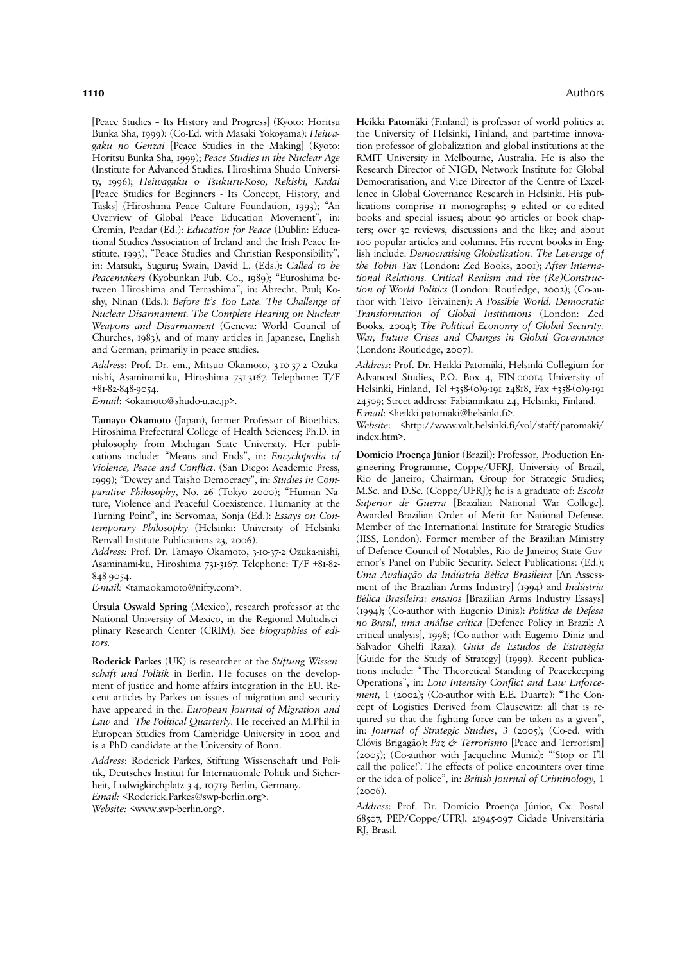[Peace Studies – Its History and Progress] (Kyoto: Horitsu Bunka Sha, 1999): (Co-Ed. with Masaki Yokoyama): *Heiwagaku no Genzai* [Peace Studies in the Making] (Kyoto: Horitsu Bunka Sha, 1999); *Peace Studies in the Nuclear Age* (Institute for Advanced Studies, Hiroshima Shudo University, 1996); *Heiwagaku o Tsukuru-Koso, Rekishi, Kadai* [Peace Studies for Beginners - Its Concept, History, and Tasks] (Hiroshima Peace Culture Foundation, 1993); "An Overview of Global Peace Education Movement", in: Cremin, Peadar (Ed.): *Education for Peace* (Dublin: Educational Studies Association of Ireland and the Irish Peace Institute, 1993); "Peace Studies and Christian Responsibility", in: Matsuki, Suguru; Swain, David L. (Eds.): *Called to be Peacemakers* (Kyobunkan Pub. Co., 1989); "Euroshima between Hiroshima and Terrashima", in: Abrecht, Paul; Koshy, Ninan (Eds.): *Before It's Too Late. The Challenge of Nuclear Disarmament. The Complete Hearing on Nuclear Weapons and Disarmament* (Geneva: World Council of Churches, 1983), and of many articles in Japanese, English and German, primarily in peace studies.

*Address*: Prof. Dr. em., Mitsuo Okamoto, 3-10-37-2 Ozukanishi, Asaminami-ku, Hiroshima 731-3167. Telephone: T/F +81-82-848-9054.

*E-mail*: <okamoto@shudo-u.ac.jp>.

**Tamayo Okamoto** (Japan), former Professor of Bioethics, Hiroshima Prefectural College of Health Sciences; Ph.D. in philosophy from Michigan State University. Her publications include: "Means and Ends", in: *Encyclopedia of Violence, Peace and Conflict*. (San Diego: Academic Press, 1999); "Dewey and Taisho Democracy", in: *Studies in Comparative Philosophy*, No. 26 (Tokyo 2000); "Human Nature, Violence and Peaceful Coexistence. Humanity at the Turning Point", in: Servomaa, Sonja (Ed.): *Essays on Contemporary Philosophy* (Helsinki: University of Helsinki Renvall Institute Publications 23, 2006).

*Address:* Prof. Dr. Tamayo Okamoto, 3-10-37-2 Ozuka-nishi, Asaminami-ku, Hiroshima 731-3167. Telephone: T/F +81-82- 848-9054.

*E-mail: <*tamaokamoto@nifty.com>.

**Úrsula Oswald Spring** (Mexico), research professor at the National University of Mexico, in the Regional Multidisciplinary Research Center (CRIM). See *biographies of editors.*

**Roderick Parkes** (UK) is researcher at the *Stiftung Wissenschaft und Politik* in Berlin. He focuses on the development of justice and home affairs integration in the EU. Recent articles by Parkes on issues of migration and security have appeared in the: *European Journal of Migration and Law* and *The Political Quarterly*. He received an M.Phil in European Studies from Cambridge University in 2002 and is a PhD candidate at the University of Bonn.

*Address*: Roderick Parkes, Stiftung Wissenschaft und Politik, Deutsches Institut für Internationale Politik und Sicherheit, Ludwigkirchplatz 3-4, 10719 Berlin, Germany.

*Email:* <Roderick.Parkes@swp-berlin.org>.

*Website:* <www.swp-berlin.org>.

**Heikki Patomäki** (Finland) is professor of world politics at the University of Helsinki, Finland, and part-time innovation professor of globalization and global institutions at the RMIT University in Melbourne, Australia. He is also the Research Director of NIGD, Network Institute for Global Democratisation, and Vice Director of the Centre of Excellence in Global Governance Research in Helsinki. His publications comprise 11 monographs; 9 edited or co-edited books and special issues; about 90 articles or book chapters; over 30 reviews, discussions and the like; and about 100 popular articles and columns. His recent books in English include: *Democratising Globalisation. The Leverage of the Tobin Tax* (London: Zed Books, 2001); *After International Relations. Critical Realism and the (Re)Construction of World Politics* (London: Routledge, 2002); (Co-author with Teivo Teivainen): *A Possible World. Democratic Transformation of Global Institutions* (London: Zed Books, 2004); *The Political Economy of Global Security. War, Future Crises and Changes in Global Governance* (London: Routledge, 2007).

*Address*: Prof. Dr. Heikki Patomäki, Helsinki Collegium for Advanced Studies, P.O. Box 4, FIN-00014 University of Helsinki, Finland, Tel +358-(0)9-191 24818, Fax +358-(0)9-191 24509; Street address: Fabianinkatu 24, Helsinki, Finland. *E-mail*: <heikki.patomaki@helsinki.fi>.

*Website*: <http://www.valt.helsinki.fi/vol/staff/patomaki/ index.htm>.

**Domício Proença Júnior** (Brazil): Professor, Production Engineering Programme, Coppe/UFRJ, University of Brazil, Rio de Janeiro; Chairman, Group for Strategic Studies; M.Sc. and D.Sc. (Coppe/UFRJ); he is a graduate of: *Escola Superior de Guerra* [Brazilian National War College]. Awarded Brazilian Order of Merit for National Defense. Member of the International Institute for Strategic Studies (IISS, London). Former member of the Brazilian Ministry of Defence Council of Notables, Rio de Janeiro; State Governor's Panel on Public Security. Select Publications: (Ed.): *Uma Avaliação da Indústria Bélica Brasileira* [An Assessment of the Brazilian Arms Industry] (1994) and *Indústria Bélica Brasileira: ensaios* [Brazilian Arms Industry Essays] (1994); (Co-author with Eugenio Diniz): *Política de Defesa no Brasil, uma análise crítica* [Defence Policy in Brazil: A critical analysis], 1998; (Co-author with Eugenio Diniz and Salvador Ghelfi Raza): *Guia de Estudos de Estratégia* [Guide for the Study of Strategy] (1999). Recent publications include: "The Theoretical Standing of Peacekeeping Operations", in: *Low Intensity Conflict and Law Enforcement*, 1 (2002); (Co-author with E.E. Duarte): "The Concept of Logistics Derived from Clausewitz: all that is required so that the fighting force can be taken as a given", in: *Journal of Strategic Studies*, 3 (2005); (Co-ed. with Clóvis Brigagão): *Paz & Terrorismo* [Peace and Terrorism] (2005); (Co-author with Jacqueline Muniz): "'Stop or I'll call the police!': The effects of police encounters over time or the idea of police", in: *British Journal of Criminology*, 1  $(2006).$ 

*Address*: Prof. Dr. Domício Proença Júnior, Cx. Postal 68507, PEP/Coppe/UFRJ, 21945-097 Cidade Universitária RJ, Brasil.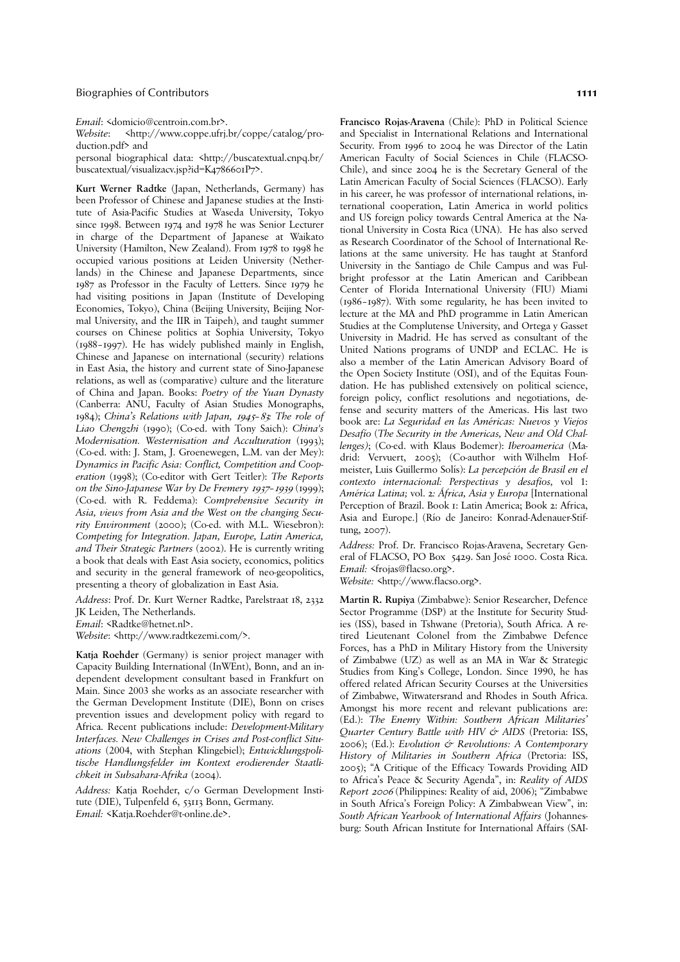*Email*: <domicio@centroin.com.br>.

*Website*: <http://www.coppe.ufrj.br/coppe/catalog/production.pdf> and

personal biographical data: <http://buscatextual.cnpq.br/ buscatextual/visualizacv.jsp?id=K4786601P7>.

**Kurt Werner Radtke** (Japan, Netherlands, Germany) has been Professor of Chinese and Japanese studies at the Institute of Asia-Pacific Studies at Waseda University, Tokyo since 1998. Between 1974 and 1978 he was Senior Lecturer in charge of the Department of Japanese at Waikato University (Hamilton, New Zealand). From 1978 to 1998 he occupied various positions at Leiden University (Netherlands) in the Chinese and Japanese Departments, since 1987 as Professor in the Faculty of Letters. Since 1979 he had visiting positions in Japan (Institute of Developing Economies, Tokyo), China (Beijing University, Beijing Normal University, and the IIR in Taipeh), and taught summer courses on Chinese politics at Sophia University, Tokyo (1988–1997). He has widely published mainly in English, Chinese and Japanese on international (security) relations in East Asia, the history and current state of Sino-Japanese relations, as well as (comparative) culture and the literature of China and Japan. Books: *Poetry of the Yuan Dynasty* (Canberra: ANU, Faculty of Asian Studies Monographs, 1984); *China's Relations with Japan,* 1945–83*: The role of Liao Chengzhi* (1990); (Co-ed. with Tony Saich): *China's Modernisation. Westernisation and Acculturation* (1993); (Co-ed. with: J. Stam, J. Groenewegen, L.M. van der Mey): *Dynamics in Pacific Asia: Conflict, Competition and Cooperation* (1998); (Co-editor with Gert Teitler): *The Reports on the Sino-Japanese War by De Fremery* 1937–1939 (1999); (Co-ed. with R. Feddema): *Comprehensive Security in Asia, views from Asia and the West on the changing Security Environment* (2000); (Co-ed. with M.L. Wiesebron): *Competing for Integration. Japan, Europe, Latin America, and Their Strategic Partners* (2002). He is currently writing a book that deals with East Asia society, economics, politics and security in the general framework of neo-geopolitics, presenting a theory of globalization in East Asia.

*Address*: Prof. Dr. Kurt Werner Radtke, Parelstraat 18, 2332 JK Leiden, The Netherlands.

*Email*: <Radtke@hetnet.nl>.

*Website*: <http://www.radtkezemi.com/>.

**Katja Roehder** (Germany) is senior project manager with Capacity Building International (InWEnt), Bonn, and an independent development consultant based in Frankfurt on Main. Since 2003 she works as an associate researcher with the German Development Institute (DIE), Bonn on crises prevention issues and development policy with regard to Africa. Recent publications include: *Development-Military Interfaces. New Challenges in Crises and Post-conflict Situations* (2004, with Stephan Klingebiel); *Entwicklungspolitische Handlungsfelder im Kontext erodierender Staatlichkeit in Subsahara-Afrika* (2004).

*Address:* Katja Roehder, c/o German Development Institute (DIE), Tulpenfeld 6, 53113 Bonn, Germany. *Email:* <Katja.Roehder@t-online.de>.

**Francisco Rojas-Aravena** (Chile): PhD in Political Science and Specialist in International Relations and International Security. From 1996 to 2004 he was Director of the Latin American Faculty of Social Sciences in Chile (FLACSO-Chile), and since 2004 he is the Secretary General of the Latin American Faculty of Social Sciences (FLACSO). Early in his career, he was professor of international relations, international cooperation, Latin America in world politics and US foreign policy towards Central America at the National University in Costa Rica (UNA). He has also served as Research Coordinator of the School of International Relations at the same university. He has taught at Stanford University in the Santiago de Chile Campus and was Fulbright professor at the Latin American and Caribbean Center of Florida International University (FIU) Miami (1986–1987). With some regularity, he has been invited to lecture at the MA and PhD programme in Latin American Studies at the Complutense University, and Ortega y Gasset University in Madrid. He has served as consultant of the United Nations programs of UNDP and ECLAC. He is also a member of the Latin American Advisory Board of the Open Society Institute (OSI), and of the Equitas Foundation. He has published extensively on political science, foreign policy, conflict resolutions and negotiations, defense and security matters of the Americas. His last two book are: *La Seguridad en las Américas: Nuevos y Viejos Desafío* (*The Security in the Americas, New and Old Challenges)*; (Co-ed. with Klaus Bodemer): *Iberoamerica* (Madrid: Vervuert, 2005); (Co-author with Wilhelm Hofmeister, Luis Guillermo Solís): *La percepción de Brasil en el contexto internacional: Perspectivas y desafíos,* vol 1: *América Latina;* vol. 2*: África, Asia y Europa* [International Perception of Brazil. Book 1: Latin America; Book 2: Africa, Asia and Europe.] (Río de Janeiro: Konrad-Adenauer-Stiftung, 2007).

*Address:* Prof. Dr. Francisco Rojas-Aravena, Secretary General of FLACSO, PO Box 5429. San José 1000. Costa Rica. *Email:* <frojas@flacso.org>.

*Website:* <http://www.flacso.org>.

**Martin R. Rupiya** (Zimbabwe): Senior Researcher, Defence Sector Programme (DSP) at the Institute for Security Studies (ISS), based in Tshwane (Pretoria), South Africa. A retired Lieutenant Colonel from the Zimbabwe Defence Forces, has a PhD in Military History from the University of Zimbabwe (UZ) as well as an MA in War & Strategic Studies from King's College, London. Since 1990, he has offered related African Security Courses at the Universities of Zimbabwe, Witwatersrand and Rhodes in South Africa. Amongst his more recent and relevant publications are: (Ed.): *The Enemy Within: Southern African Militaries' Quarter Century Battle with HIV & AIDS* (Pretoria: ISS, 2006); (Ed.): *Evolution & Revolutions: A Contemporary History of Militaries in Southern Africa* (Pretoria: ISS, 2005); "A Critique of the Efficacy Towards Providing AID to Africa's Peace & Security Agenda", in: *Reality of AIDS Report* 2006 (Philippines: Reality of aid, 2006); "Zimbabwe in South Africa's Foreign Policy: A Zimbabwean View", in: *South African Yearbook of International Affairs* (Johannesburg: South African Institute for International Affairs (SAI-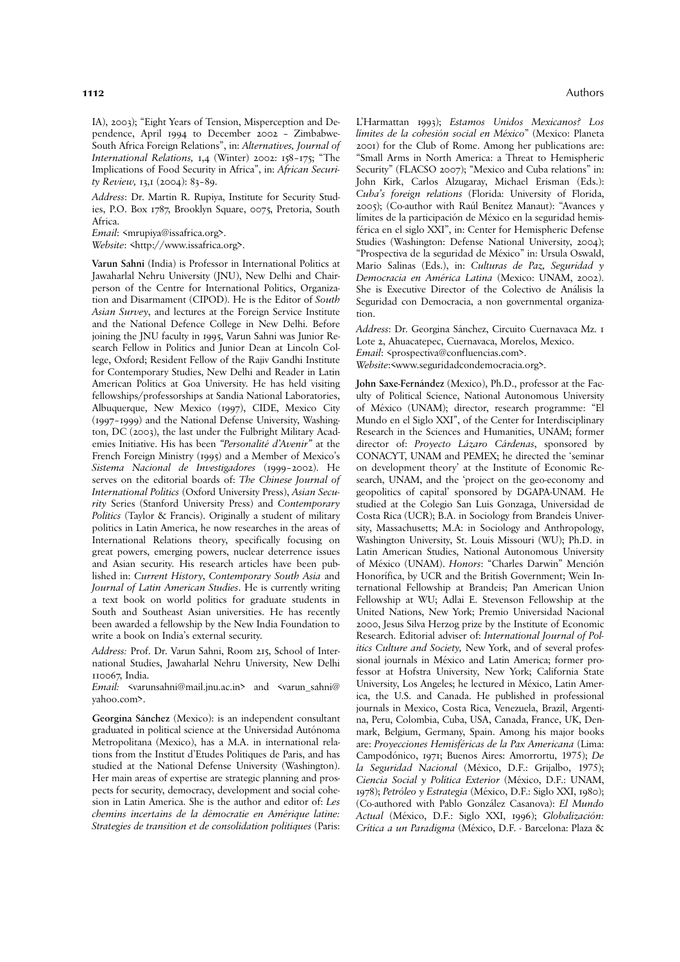IA), 2003); "Eight Years of Tension, Misperception and Dependence, April 1994 to December 2002 – Zimbabwe-South Africa Foreign Relations", in: *Alternatives, Journal of International Relations,* 1,4 (Winter) 2002: 158–175; "The Implications of Food Security in Africa", in: *African Security Review,* 13,1 (2004): 83–89.

*Address*: Dr. Martin R. Rupiya, Institute for Security Studies, P.O. Box 1787, Brooklyn Square, 0075, Pretoria, South Africa.

*Email*: <mrupiya@issafrica.org>.

*Website*: <http://www.issafrica.org>.

**Varun Sahni** (India) is Professor in International Politics at Jawaharlal Nehru University (JNU), New Delhi and Chairperson of the Centre for International Politics, Organization and Disarmament (CIPOD). He is the Editor of *South Asian Survey*, and lectures at the Foreign Service Institute and the National Defence College in New Delhi. Before joining the JNU faculty in 1995, Varun Sahni was Junior Research Fellow in Politics and Junior Dean at Lincoln College, Oxford; Resident Fellow of the Rajiv Gandhi Institute for Contemporary Studies, New Delhi and Reader in Latin American Politics at Goa University. He has held visiting fellowships/professorships at Sandia National Laboratories, Albuquerque, New Mexico (1997), CIDE, Mexico City (1997–1999) and the National Defense University, Washington, DC (2003), the last under the Fulbright Military Academies Initiative. His has been *"Personalité d'Avenir"* at the French Foreign Ministry (1995) and a Member of Mexico's *Sistema Nacional de Investigadores* (1999–2002). He serves on the editorial boards of: *The Chinese Journal of International Politics* (Oxford University Press), *Asian Security* Series (Stanford University Press) and *Contemporary Politics* (Taylor & Francis). Originally a student of military politics in Latin America, he now researches in the areas of International Relations theory, specifically focusing on great powers, emerging powers, nuclear deterrence issues and Asian security. His research articles have been published in: *Current History*, *Contemporary South Asia* and *Journal of Latin American Studies*. He is currently writing a text book on world politics for graduate students in South and Southeast Asian universities. He has recently been awarded a fellowship by the New India Foundation to write a book on India's external security.

*Address:* Prof. Dr. Varun Sahni, Room 215, School of International Studies, Jawaharlal Nehru University, New Delhi 110067, India.

*Email:* <varunsahni@mail.jnu.ac.in> and <varun\_sahni@ yahoo.com>.

**Georgina Sánchez** (Mexico): is an independent consultant graduated in political science at the Universidad Autónoma Metropolitana (Mexico), has a M.A. in international relations from the Institut d'Etudes Politiques de Paris, and has studied at the National Defense University (Washington). Her main areas of expertise are strategic planning and prospects for security, democracy, development and social cohesion in Latin America. She is the author and editor of: *Les chemins incertains de la démocratie en Amérique latine: Strategies de transition et de consolidation politiques* (Paris:

L'Harmattan 1993); *Estamos Unidos Mexicanos? Los límites de la cohesión social en México*" (Mexico: Planeta 2001) for the Club of Rome. Among her publications are: "Small Arms in North America: a Threat to Hemispheric Security" (FLACSO 2007); "Mexico and Cuba relations" in: John Kirk, Carlos Alzugaray, Michael Erisman (Eds.): *Cuba's foreign relations* (Florida: University of Florida, 2005); (Co-author with Raúl Benítez Manaut): "Avances y límites de la participación de México en la seguridad hemisférica en el siglo XXI", in: Center for Hemispheric Defense Studies (Washington: Defense National University, 2004); "Prospectiva de la seguridad de México" in: Ursula Oswald, Mario Salinas (Eds.), in: *Culturas de Paz, Seguridad y Democracia en América Latina* (Mexico: UNAM, 2002). She is Executive Director of the Colectivo de Análisis la Seguridad con Democracia, a non governmental organization.

*Address*: Dr. Georgina Sánchez, Circuito Cuernavaca Mz. 1 Lote 2, Ahuacatepec, Cuernavaca, Morelos, Mexico. *Email*: <prospectiva@confluencias.com>. *Website*:<www.seguridadcondemocracia.org>.

**John Saxe-Fernández** (Mexico), Ph.D., professor at the Faculty of Political Science, National Autonomous University of México (UNAM); director, research programme: "El Mundo en el Siglo XXI", of the Center for Interdisciplinary Research in the Sciences and Humanities, UNAM; former director of: *Proyecto Lázaro Cárdenas*, sponsored by CONACYT, UNAM and PEMEX; he directed the 'seminar on development theory' at the Institute of Economic Research, UNAM, and the 'project on the geo-economy and geopolitics of capital' sponsored by DGAPA-UNAM. He studied at the Colegio San Luis Gonzaga, Universidad de Costa Rica (UCR); B.A. in Sociology from Brandeis University, Massachusetts; M.A: in Sociology and Anthropology, Washington University, St. Louis Missouri (WU); Ph.D. in Latin American Studies, National Autonomous University of México (UNAM). *Honors*: "Charles Darwin" Mención Honorífica, by UCR and the British Government; Wein International Fellowship at Brandeis; Pan American Union Fellowship at WU; Adlai E. Stevenson Fellowship at the United Nations, New York; Premio Universidad Nacional 2000, Jesus Silva Herzog prize by the Institute of Economic Research. Editorial adviser of: *International Journal of Politics Culture and Society,* New York, and of several professional journals in México and Latin America; former professor at Hofstra University, New York; California State University, Los Angeles; he lectured in México, Latin America, the U.S. and Canada. He published in professional journals in Mexico, Costa Rica, Venezuela, Brazil, Argentina, Peru, Colombia, Cuba, USA, Canada, France, UK, Denmark, Belgium, Germany, Spain. Among his major books are: *Proyecciones Hemisféricas de la Pax Americana* (Lima: Campodónico, 1971; Buenos Aires: Amorrortu, 1975); *De la Seguridad Nacional* (México, D.F.: Grijalbo, 1975); *Ciencia Social y Política Exterior* (México, D.F.: UNAM, 1978); *Petróleo y Estrategia* (México, D.F.: Siglo XXI, 1980); (Co-authored with Pablo González Casanova): *El Mundo Actual* (México, D.F.: Siglo XXI, 1996); *Globalización: Crítica a un Paradigma* (México, D.F. - Barcelona: Plaza &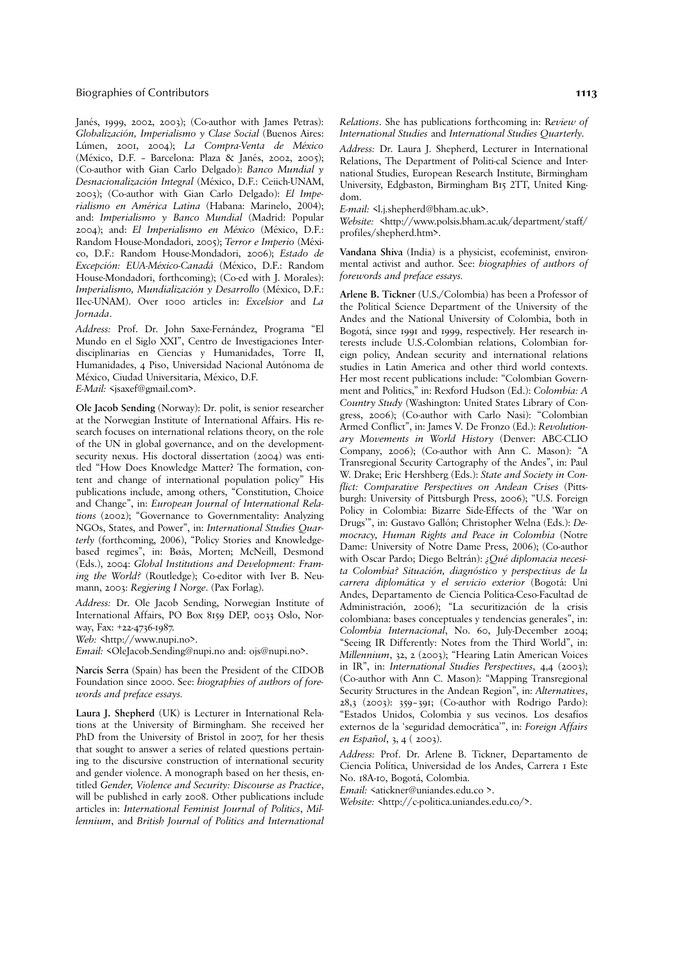Janés, 1999, 2002, 2003); (Co-author with James Petras): *Globalización, Imperialismo y Clase Social* (Buenos Aires: Lúmen, 2001, 2004); *La Compra-Venta de México* (México, D.F. – Barcelona: Plaza & Janés, 2002, 2005); (Co-author with Gian Carlo Delgado): *Banco Mundial y Desnacionalización Integral* (México, D.F.: Ceiich-UNAM, 2003); (Co-author with Gian Carlo Delgado): *El Imperialismo en América Latina* (Habana: Marinelo, 2004); and: *Imperialismo y Banco Mundial* (Madrid: Popular 2004); and: *El Imperialismo en México* (México, D.F.: Random House-Mondadori, 2005); *Terror e Imperio* (México, D.F.: Random House-Mondadori, 2006); *Estado de Excepción: EUA-México-Canadá* (México, D.F.: Random House-Mondadori, forthcoming); (Co-ed with J. Morales): *Imperialismo, Mundialización y Desarrollo* (México, D.F.: IIec-UNAM). Over 1000 articles in: *Excelsior* and *La Jornada*.

*Address:* Prof. Dr. John Saxe-Fernández, Programa "El Mundo en el Siglo XXI", Centro de Investigaciones Interdisciplinarias en Ciencias y Humanidades, Torre II, Humanidades, 4 Piso, Universidad Nacional Autónoma de México, Ciudad Universitaria, México, D.F. *E-Mail:* <jsaxef@gmail.com>.

**Ole Jacob Sending** (Norway): Dr. polit, is senior researcher at the Norwegian Institute of International Affairs. His research focuses on international relations theory, on the role of the UN in global governance, and on the developmentsecurity nexus. His doctoral dissertation (2004) was entitled "How Does Knowledge Matter? The formation, content and change of international population policy" His publications include, among others, "Constitution, Choice and Change", in: *European Journal of International Relations* (2002); "Governance to Governmentality: Analyzing NGOs, States, and Power", in: *International Studies Quarterly* (forthcoming, 2006), "Policy Stories and Knowledgebased regimes", in: Bøås, Morten; McNeill, Desmond (Eds.), 2004: *Global Institutions and Development: Framing the World?* (Routledge); Co-editor with Iver B. Neumann, 2003: *Regjering I Norge*. (Pax Forlag).

*Address:* Dr. Ole Jacob Sending, Norwegian Institute of International Affairs, PO Box 8159 DEP, 0033 Oslo, Norway, Fax: +22-4736-1987.

*Web:*  $\frac{\text{http://www.nupi.no>}}{\text{http://www.nupi.no>}}.$ 

*Email:* <OleJacob.Sending@nupi.no and: ojs@nupi.no>.

**Narcís Serra** (Spain) has been the President of the CIDOB Foundation since 2000. See: *biographies of authors of forewords and preface essays.*

**Laura J. Shepherd** (UK) is Lecturer in International Relations at the University of Birmingham. She received her PhD from the University of Bristol in 2007, for her thesis that sought to answer a series of related questions pertaining to the discursive construction of international security and gender violence. A monograph based on her thesis, entitled *Gender, Violence and Security: Discourse as Practice*, will be published in early 2008. Other publications include articles in: *International Feminist Journal of Politics*, *Millennium*, and *British Journal of Politics and International* *Relations*. She has publications forthcoming in: R*eview of International Studies* and *International Studies Quarterly*.

*Address:* Dr. Laura J. Shepherd, Lecturer in International Relations, The Department of Politi-cal Science and International Studies, European Research Institute, Birmingham University, Edgbaston, Birmingham B15 2TT, United Kingdom.

*E-mail:* <l.j.shepherd@bham.ac.uk>.

*Website:* <http://www.polsis.bham.ac.uk/department/staff/ profiles/shepherd.htm>.

**Vandana Shiva** (India) is a physicist, ecofeminist, environmental activist and author. See: *biographies of authors of forewords and preface essays.*

**Arlene B. Tickner** (U.S./Colombia) has been a Professor of the Political Science Department of the University of the Andes and the National University of Colombia, both in Bogotá, since 1991 and 1999, respectively. Her research interests include U.S.-Colombian relations, Colombian foreign policy, Andean security and international relations studies in Latin America and other third world contexts. Her most recent publications include: "Colombian Government and Politics," in: Rexford Hudson (Ed.): *Colombia: A Country Study* (Washington: United States Library of Congress, 2006); (Co-author with Carlo Nasi): "Colombian Armed Conflict", in: James V. De Fronzo (Ed.): *Revolutionary Movements in World History* (Denver: ABC-CLIO Company, 2006); (Co-author with Ann C. Mason): "A Transregional Security Cartography of the Andes", in: Paul W. Drake; Eric Hershberg (Eds.): *State and Society in Conflict: Comparative Perspectives on Andean Crises* (Pittsburgh: University of Pittsburgh Press, 2006); "U.S. Foreign Policy in Colombia: Bizarre Side-Effects of the 'War on Drugs'", in: Gustavo Gallón; Christopher Welna (Eds.): *Democracy, Human Rights and Peace in Colombia* (Notre Dame: University of Notre Dame Press, 2006); (Co-author with Oscar Pardo; Diego Beltrán): *¿Qué diplomacia necesita Colombia? Situación, diagnóstico y perspectivas de la carrera diplomática y el servicio exterior* (Bogotá: Uni Andes, Departamento de Ciencia Política-Ceso-Facultad de Administración, 2006); "La securitización de la crisis colombiana: bases conceptuales y tendencias generales", in: *Colombia Internacional*, No. 60, July-December 2004; "Seeing IR Differently: Notes from the Third World", in: *Millennium*, 32, 2 (2003); "Hearing Latin American Voices in IR", in: *International Studies Perspectives*, 4,4 (2003); (Co-author with Ann C. Mason): "Mapping Transregional Security Structures in the Andean Region", in: *Alternatives*, 28,3 (2003): 359–391; (Co-author with Rodrigo Pardo): "Estados Unidos, Colombia y sus vecinos. Los desafíos externos de la 'seguridad democrática'", in: *Foreign Affairs en Español*, 3, 4 ( 2003).

*Address:* Prof. Dr. Arlene B. Tickner, Departamento de Ciencia Política, Universidad de los Andes, Carrera 1 Este No. 18A-10, Bogotá, Colombia.

*Email:* <atickner@uniandes.edu.co >.

*Website:* <http://c-politica.uniandes.edu.co/>.